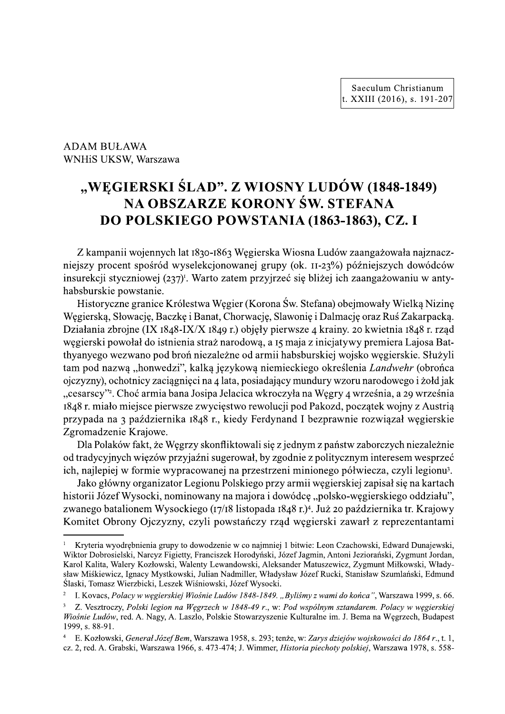ADAM BUŁAWA WNHiS UKSW, Warszawa

# XXIII (2016), s. 191-203<br>
ADAM BUŁAWA<br>
WNHiS UKSW, Warszawa<br> **THE SEAST STAD". Z WIOSNY LUDÓW (1848-1849)**<br> **NA OBSZARZE KORONY ŚW. STEFANA<br>
DO POLSKIEGO POWSTANIA (1863-1863), CZ. I<br>
Z kampanii wojennych lat 1830-1863 Węg**

nnych lat 1830-1863 Węgiersk ocent sposrod wyselekcjonowanej grupy (ok. 11-23%) pozniejs ekcji styczniowej (237)<sup>r</sup>. Warto zatem przyjrzeć się bliżej skie powstanie.

WHIS UKSW, Warszawa<br> **"WĘGIERSKI ŚLAD". Z WIOSNY LUDÓW (1848-1849)**<br> **NA OBSZARZE KORONY ŚW. STEFANA**<br> **DO POLSKIEGO POWSTANIA (1863-1863), CZ. I**<br>
Z kampanii wojennych lat 1830-1863 Węgierska Wiosna Ludów zaangażowała naj **WEGIERSKI ŚI<br>
NA OBSZA<br>
DO POLSKIE**<br>
Z kampanii wojennych lat<br>
niejszy procent spośród wyso<br>
insurekcji styczniowej (237)<sup>1</sup>.<br>
habsburskie powstanie.<br>
Historyczne granice Króle:<br>
Węgierską, Słowację, Baczkę i<br>
Działania z **"WEGIERSKI ŚLAD". Z WIOSNY LUDÓW (1848-1849)**<br> **NA OBSZARZE KORONY ŚW. STEFANA**<br> **DO POLSKIEGO POWSTANIA (1863-1863), CZ. I**<br>
Z kampanii wojennych lat 1830-1863 Węgierska Wiosna Ludów zaangażowała najznacz-<br>
niegrszy proc **"WĘGIERSKI ŚLAD".**<br> **NA OBSZARZE**<br> **DO POLSKIEGO PC**<br>
Z kampanii wojennych lat 1830-1863<br>
niejszy procent spośród wyselekcjonov<br>
insurekcji styczniowej (237)<sup>1</sup>. Warto zat<br>
habsburskie powstanie.<br>
Historyczne granice Król GIERSKI ŚLAD". Z WIOSNY LU<br>
NA OBSZARZE KORONY ŚW.<br>
D POLSKIEGO POWSTANIA (18<br>
mii wojennych lat 1830-1863 Węgierska Wiosna Lu<br>
ent spośród wyselekcjonowanej grupy (ok. 11-2;<br>
tyczniowej (237)<sup>1</sup>. Warto zatem przyjrzeć się SKI ŚLAD". Z WIOSNY LUDÓW<br>
DBSZARZE KORONY ŚW. STEF.<br>
SKIEGO POWSTANIA (1863-186<br>
nnych lat 1830-1863 Węgierska Wiosna Ludów zaan<br>
iród wyselekcjonowanej grupy (ok. 11-23%) późr<br>
ej (237)<sup>1</sup>. Warto zatem przyjrzeć się bliż I ŚLAD". Z WIOSNY LUDÓW (18<br>SZARZE KORONY ŚW. STEFAN<br>XIEGO POWSTANIA (1863-1863),<br>h lat 1830-1863 Węgierska Wiosna Ludów zaangaż<br>wyselekcjonowanej grupy (ok. 11-23%) późniejs<br>377<sup>)</sup>. Warto zatem przyjrzeć się bliżej ich za **"WĘGIERSKI ŚLAD". Z WIOSNY LUDÓW (1848-1849)**<br> **NA OBSZARZE KORONY ŚW. STEFANA**<br> **DO POLSKIEGO POWSTANIA (1863-1863), CZ. I**<br>
Z kampanii wojennych lat 1830-1863 Węgierska Wiosna Ludów zaangażowała najznacz-<br>
niejszy proce Historyczne granice Krolestwa Węgier (Korona Św. Stefana) obejmowały Wielk **NA OBSZARZI<br>DO POLSKIEGO I**<br>Z kampanii wojennych lat 1830-18<br>niejszy procent spośród wyselekcjo<br>insurekcji styczniowej (237)<sup>1</sup>. Warto<br>habsburskie powstanie.<br>Historyczne granice Królestwa W<br>Węgierską, Słowację, Baczkę i B **NA OBSZARZE KORONY SW. STEFANA**<br> **DO POLSKIEGO POWSTANIA (1863-1863), CZ. I**<br>
Z kampanii wojennych lat t830-1863 Węgierska Wiosna Ludów zaangażowała najznacz-<br>
niejszy procent spośród wyselekcjonowanej grupy (ok. 11-23%) rską, Słowację, Baczkę i Banat, Chorwację, Slawonię i Dalmację oraz **DO POLSKIEGO POWSTA**<br>
Z kampanii wojennych lat 1830-1863 Węgierska<br>
ilejszy procent spośród wyselekcjonowanej grup<br>
nsurekcji styczniowej (237)<sup>I</sup>. Warto zatem przyjr:<br>
ilesburskie powstanie.<br>
Historyczne granice Królestw ANIA (1863-1863), CZ. I<br>ka Wiosna Ludów zaangażowała najznacz-<br>upy (ok. 11-23%) późniejszych dowódców<br>jrzeć się bliżej ich zaangażowaniu w anty-<br>na Św. Stefana) obejmowały Wielką Nizinę<br>na Św. Stefana) obejmowały Wielką Ni Z kampanii wojennych lat 1830-1863 Węgierska Wiosna Ludów zaangażowała najznaczniejszy procent spośród wyselekcjonowanej grupy (ok. 11-23%) późniejszych dowódców insurekcji styczniowej (237)'. Warto zatem przyjrzeć się bl ojne (IX 1848-IX/X 1849 r.) objęły pierwsze 4 krainy. 20 kwietnia 1848 r. rza 1830-1863 Węgierska Wiosna Ludów zaangażował<br>
elekcjonowanej grupy (ok. 11-23%) późniejszych<br>
Warto zatem przyjrzeć się bliżej ich zaangażował<br>
Warto zatem przyjrzeć się bliżej ich zaangażował<br>
stwa Węgier (Korona Św. Stef Z kampanii wojennych lat 1830-1863 Węgierska Wiosna Ludów zaangażowała najznaczniejszy procent spośród wyselekcjonowanej grupy (ok. 11-23%) późniejszych dowódców insurekcji styczniowej (237). Warto zatem przyjrzeć się bli rski powołał do istnienia straż narodową, a 15 maja z inicjatywy premiera Lajosa Bat-30-1863 Węgierska Wiosna Ludów zaangażowała i<br>kcjonowanej grupy (ok. 11-23%) późniejszych do<br>arto zatem przyjrzeć się bliżej ich zaangażowaniu<br>va Węgier (Korona Św. Stefana) obejmowały Wiell<br>anat, Chorwację, Slawonię i Dal thyanyego wezwano pod bron niezalezne od armii habsburskiej wojsko węgierskie. I Z Kampanii wojennych lat 1830-1869<br>
niejszy procent spośród wyselekcjono<br>
insurekcji styczniowej (237)<sup>1</sup>. Warto za<br>
habsburskie powstanie.<br>
Historyczne granice Królestwa Węg<br>
Węgierską, Słowację, Baczkę i Banat, C<br>
Działa mpanii wojennych lat 1830-1803 węgierska włosna<br>
brocent spośród wyselekcjonowanej grupy (ok. 1<br>
ji styczniowej (237)<sup>I</sup>. Warto zatem przyjrzeć się b<br>
skie powstanie.<br>
ryczne granice Królestwa Węgier (Korona Św. Ste<br>
cą, S meyzy procent spostora<br>
insurekcji styzzniowej (237)'. Warto zatem przyjrzeć się bliżej ich zaangażowaniu w anty-<br>
habsburskie powstanie.<br>
Historyczne granice Królestwa Węgier (Korona Św. Stefana) obejmowały Wielką Nizinę<br> mejszy procent sposrod wyselekcjonowanej grupy (ok. 11-23<br>
insurekcji styczniowej (237)'. Warto zatem przyjrzeć się bliżej<br>
nabsburskie powstanie.<br>
Historyczne granice Królestwa Węgier (Korona Św. Stefana<br>
Węgierską, Słowa mieckiego okreslenia *Landwehr* (obroi msurekcy i stycznowej (237): warto zaiem przyjrzec się onzej ich zaingazowaniu w anty-<br>habsburskie powstanie.<br>
Historyczne graniec Królestwa Węgier (Korona Św. Stefana) obejmowały Wielką Nizinę<br>
Węgierską, Słowację, Baczkę Em przyjrzec się bitzej ich zaangazowaniu w antyczne<br>er (Korona Św. Stefana) obejmowały Wielką Nizii<br>orwację, Slawonię i Dalmację oraz Ruś Zakarpack<br>) objęły pierwsze 4 krainy. 20 kwietnia 1848 r. rzą<br>odową, a 15 maja z in u narodowego 1 zołd jak "cesarscy"<sup>2</sup>. Choć armia bana Josipa Jelacica wkroczyła na Węgry 4 września, a 29 września rólestwa Węgier (Korona Św. Stefana) obejmowały<br>kę i Banat, Chorwację, Slawonię i Dalmację oraz R<br>8-IX/X 1849 r.) objęły pierwsze 4 krainy. 20 kwiet<br>enia straż narodową, a 15 maja z inicjatywy premi<br>proń niezależne od armi orona Św. Stefana) obejmowały Wielką Nizinę<br>cję, Slawonię i Dalmację oraz Ruś Zakarpacką.<br>Ay pierwsze 4 krainy. 20 kwietnia 1848 r. rząd<br>ą, a 15 maja z inicjatywy premiera Lajosa Bat-<br>urmii habsburskiej wojsko węgierskie. na) obejmowały Wielką Nizinę<br>Dalmację oraz Ruś Zakarpacką.<br>krainy. 20 kwietnia 1848 r. rząd<br>nicjatywy premiera Lajosa Bat-<br>kiej wojsko węgierskie. Służyli<br>określenia *Landwehr* (obrońca<br>ury wzoru narodowego i żołd jak<br>vęgr 1848 r. miało miejsce pierwsze zwycięstwo rewolucji pod Pakozd, początek wojny z Austrią Historyczne granice Krolestwa węgier (Korona Singierską, Słowację, Baczkę i Banat, Chorwację, Slaviałania zbrojne (IX 1848-IX/X 1849 r.) objęły pierv<br>gierski powołał do istnienia straż narodową, a 15 n<br>anyego wezwano pod b storyczne granice Krotestwa węgier (Korona Sw. 3<br>
rską, Słowację, Baczkę i Banat, Chorwację, Slawor<br>
ania zbrojne (IX 1848-IX/X 1849 r.) objęły pierwsz<br>
rski powołał do istnienia straż narodową, a 15 maj.<br>
yego wezwano pod ggler (Korona Sw. Stelana) obejmowały wielką Nizinę<br>Chorwację, Slawonię i Dalmację oraz Ruś Zakarpacką.<br>9 r.) objęły pierwsze 4 krainy. 20 kwietnia 1848 r. rząd<br>arodową, a 15 maja z inicjatywy premiera Lajosa Bat-<br>żne od a elana) obejmowały wielką Nizinę<br>
e i Dalmację oraz Ruś Zakarpacką.<br>
24 krainy. 20 kwietnia 1848 r. rząd<br>
z inicjatywy premiera Lajosa Bat-<br>
urskiej wojsko węgierskie. Służyli<br>
go określenia *Landwehr* (obrońca<br>
ndury wzoru przypada na 3 pazdziernika 1848 r., kiedy Ferdynand I bezprawnie rozwiązał węgierskie Węgierską, Słowację, Baczkę i Banat, Chorwa<br>Działania zbrojne (IX 1848-IX/X 1849 r.) obję<br>węgierski powołał do istnienia straż narodow<br>thyanyego wezwano pod broń niezależne od a<br>tam pod nazwą "honwedzi", kalką językową<br>ojc al, Chorwację, Sławonię i Dalmację oraz Kus Zakała<br>849 r.) objęły pierwsze 4 krainy. 20 kwietnia 1848<br>12 narodową, a 15 maja z inicjatywy premiera Lajo<br>ależne od armii habsburskiej wojsko węgierskie.<br>81 językową niemieckie e, Slawomę i Dalmację oraz Kus Zakarpacką.<br>
y pierwsze 4 krainy. 20 kwietnia 1848 r. rząd<br>
a 15 maja z inicjatywy premiera Lajosa Bat-<br>
mii habsburskiej wojsko węgierskie. Służyli<br>
ilemieckiego określenia *Landwehr* (obroń Zgromadzenie Krajowe. Działania zbrojne (IX 1848-1X/X i<br>
węgierski powołał do istnienia stra<br>
thyanyego wezwano pod broń niez<br>
tam pod nazwą "honwedzi", kalka<br>
ojczyzny), ochotnicy zaciągnięci na<br>
"cesarscy". Choć armia bana Josir<br>
1848 r. miał ierski powołał do isinienia straz narodową, a 15 maja z inicjatywy prenyego wezwano pod broń niezależne od armii habsburskiej wojsko wę<br>pod nazwą "honwedzi", kalką językową niemieckiego określenia *La.*<br>zzny), ochotnicy za Iz narodową, a 15 maja z miejatywy premiera Lajosa Bal-<br>ależne od armii habsburskiej wojsko węgierskie. Służyli<br>językową niemieckiego określenia *Landwehr* (obrońca<br>4 lata, posiadający mundury wzoru narodowego i żołd jak<br>a 5 maja z inicjatywy premiera Lajosa Bathabsburskiej wojsko węgierskie. Służyli<br>nieckiego określenia *Landwehr* (obrońca<br>icy mundury wzoru narodowego i żołd jak<br>zzyła na Węgry 4 września, a 29 września<br>cji pod Pakozd, począ Inicjatywy premiera Lajosa Bal-<br>
skiej wojsko węgierskie. Służyli<br>
o określenia *Landwehr* (obrońca<br>
dury wzoru narodowego i żołd jak<br>
Węgry 4 września, a 29 września<br>
akozd, początek wojny z Austrią<br>
akozd, początek wojny Inyanyego wezwano pod oron mezatezne od<br>tam pod nazwą "honwedzi", kalką językowa<br>ojczyzny), ochotnicy zaciągnięci na 4 lata, pos<br>"cesarscy"?. Choć armia bana Josipa Jelacica<br>1848 r. miało miejsce pierwsze zwycięstwo re<br>prz yanyego wezwano pod oron mezalezne od armii i<br>m pod nazwą "honwedzi", kalką językową niemi<br>czyzny), ochotnicy zaciągnięci na 4 lata, posiadając<br>esarscy"?. Choć armia bana Josipa Jelacica wkroc:<br>48 r. miało miejsce pierwsze 1 bron mezalezne od armii nabsburskiej wojsko w<br>dzi", kalką językową niemieckiego określenia La<br>iągnięci na 4 lata, posiadający mundury wzoru naro<br>bana Josipa Jelacica wkroczyła na Węgry 4 wrześ<br>rwsze zwycięstwo rewolucji ezależne od armin nabsburskiej wojsko węgierskie. Służyl<br>ką językową niemieckiego określenia *Landwehr* (obrońc:<br>na 4 lata, posiadający mundury wzoru narodowego i żołd jal<br>sipa Jelacica wkroczyła na Węgry 4 września, a 29 J WOJSKO Węglerskie. Służyn<br>reślenia *Landwehr* (obrońca<br>wzoru narodowego i żołd jak<br>ry 4 września, a 29 września<br>d, początek wojny z Austrią<br>awnie rozwiązał węgierskie<br>ństw zaborczych niezależnie<br>jycznym interesem wesprze onwedzi , kaiką językową niemieckiego okresien<br>by zaciągnięci na 4 lata, posiadający mundury wzoru<br>trmia bana Josipa Jelacica wkroczyła na Węgry 4 w<br>ce pierwsze zwycięstwo rewolucji pod Pakozd, po<br>dziernika 1848 r., kiedy dzi , kaiką językówą niemieckiego okresienia *La*<br>iągnięci na 4 lata, posiadający mundury wzoru naro<br>bana Josipa Jelacica wkroczyła na Węgry 4 wrześ<br>erwsze zwycięstwo rewolucji pod Pakozd, począte<br>rnika 1848 r., kiedy Ferd emieckiego okresienia *Lanawenr* (obronca<br>ający mundury wzoru narodowego i żołd jak<br>roczyła na Węgry 4 września, a 29 września<br>lucji pod Pakozd, początek wojny z Austrią<br>lynand I bezprawnie rozwiązał węgierskie<br>g z jednym ojczyzny), ocnotnicy zaciągnięci na 4 iata, posiac<br>
"cesarscy". Choć armia bana Josipa Jelacica wk<br>
1848 r. miało miejsce pierwsze zwycięstwo rewo<br>
przypada na 3 października 1848 r., kiedy Ferd<br>
Zgromadzenie Krajowe.<br>
Dla iągnięci na 4 iaia, posiadający mundury wzoru naro<br>bana Josipa Jelacica wkroczyła na Węgry 4 wrześr<br>twsze zwycięstwo rewolucji pod Pakozd, początel<br>nika 1848 r., kiedy Ferdynand I bezprawnie rozw<br>Węgrzy skonfliktowali się adaljący mundury wzoru narodowego i zołu jak<br>wkroczyła na Węgry 4 września, a 29 września<br>wolucji pod Pakozd, początek wojny z Austrią<br>erdynand I bezprawnie rozwiązał węgierskie<br>i się z jednym z państw zaborczych niezależn

Dla Polakow fakt, ze Węgrzy skonfliktowali się z jednym z panstw zaborczych niezaleznie od tradycyjnych więzow przyjazni sugerował, by zgodnie z politycznym interesem wesprzec ich, najlepiej w formie wypracowanej na przestrzeni minionego półwiecza, czyli legionu<sup>3</sup>.

Jako głowny organizator Legionu Polskiego przy armii węgierskiej zapisał się na kartach historii Jozef Wysocki, nominowany na majora i dowodcę "polsko-węgierskieg ", Cesarscy ". Choc armia bana Josip<br>
1848 r. miało miejsce pierwsze zwy<br>
przypada na 3 października 1848<br>
Zgromadzenie Krajowe.<br>
Dla Polaków fakt, że Węgrzy sko<br>
od tradycyjnych więzów przyjaźni i<br>
ich, najlepiej w formie Cesarscy ". Cnot alima baran oslopa Jenacłca wkroczyna węgry 4 wrzesznina, a 29 wrzesznia<br>
IS48 F. miało miejsce pierwsze zwycięstwo rewolucji pod Pakozd, początek wojny z Austrią<br>
przypada na 3 października 1848 F., kiedy go batalionem Wysockiego (17/18 listopada 1848 r.)<sup>4</sup>. Juz 20 pazdziernika tr. Krajowy Wolucji pod Pakoza, początek wojny z Austrią<br>erdynand I bezprawnie rozwiązał węgierskie<br>i się z jednym z państw zaborczych niezależnie<br>by zgodnie z politycznym interesem wesprzeć<br>strzeni minionego półwiecza, czyli legionu<sup></sup> Komitet Obrony Ojczyzny, czyli powstanczy rząd węgierski zawarł z reprezentantami przypada na 3 pazdziernika 1846 r., ktedy rerdynand 1 bezprawnie r<br>Zgromadzenie Krajowe.<br>Dla Polaków fakt, że Węgrzy skonfliktowali się z jednym z państw za<br>od tradycyjnych więzów przyjaźni sugerował, by zgodnie z politycz Tilka 1848 F., Kledy Ferdynand 1 bezprawnie rozw<br>
Węgrzy skonfliktowali się z jednym z państw zaborc<br>
Przyjaźni sugerował, by zgodnie z politycznym int<br>
wypracowanej na przestrzeni minionego półwiecz<br>
ator Legionu Polskieg edy rerdynand 1 bezprawnie rozwiązał węgierski<br>ktowali się z jednym z państw zaborczych niezależni<br>rował, by zgodnie z politycznym interesem wesprze<br>na przestrzeni minionego półwiecza, czyli legionu<sup>i</sup><br>olskiego przy armii dynand 1 bezprawnie rozwiązał węgierskie<br>się z jednym z państw zaborczych niezależnie<br>y zgodnie z politycznym interesem wesprzeć<br>trzeni minionego półwiecza, czyli legionu<sup>3</sup>.<br>przy armii węgierskiej zapisał się na kartach<br>i I 1 bezprawnie rozwiązał węgierskie<br>
nym z państw zaborczych niezależnie<br>
ie z politycznym interesem wesprzeć<br>
minionego półwiecza, czyli legionu<sup>3</sup>.<br>
mii węgierskiej zapisał się na kartach<br>
dcę "polsko-węgierskiego oddzia r formie wypracowanej na przestrzeni m<br>
y organizator Legionu Polskiego przy arr<br>
Vysocki, nominowany na majora i dowóc<br>
onem Wysockiego (17/18 listopada 1848<br>
ny Ojczyzny, czyli powstańczy rząd w<br>
ębnienia grupy to dowodz estrzeni minionego półwiecza, czyli leg<br>go przy armii węgierskiej zapisał się na k<br>ra i dowódcę "polsko-węgierskiego oddr.<br>pada 1848 r.)<sup>4</sup>. Już 20 października tr. Kr<br>zy rząd węgierski zawarł z reprezenta<br>ajmniej 1 bitwie 1, najlepiej w formie wypracowanej na j<br>Jako główny organizator Legionu Polsk<br>storii Józef Wysocki, nominowany na m<br>wanego batalionem Wysockiego (17/18 lis<br>omitet Obrony Ojczyzny, czyli powsta<br>Kryteria wyodrębnienia grupy orinie wypracowancy na przestrzem informalny<br>organizator Legionu Polskiego przy arm<br>/socki, nominowany na majora i dowódc<br>nem Wysockiego (17/18 listopada 1848 r.<br>// Ojczyzny, czyli powstańczy rząd wę<br>nienia grupy to dowodz wancy na przestrzem mimologo porwie<br>
ionu Polskiego przy armii węgierskiej za<br>
wany na majora i dowódcę "polsko-węgia<br>
go (17/18 listopada 1848 r.)<sup>4</sup>. Już 20 paźdz<br>
yli powstańczy rząd węgierski zawarł<br>
wodzenie w co najm zy armii węgierskiej zapisał się na kartadowódcę "polsko-węgierskiego oddziału<br>zy armii węgierskiej zapisał się na kartadowódcę "polsko-węgierskiego oddziału<br>1848 r.)<sup>4</sup>. Już 20 października tr. Krajow<br>ząd węgierski zawarł

kryteria wyodrębnienia grupy to dowodzenie w co najmniej 1 bitwie: Leon Czachowski, Edward Dunajewski, wyodrębnienia grupy to dowodzenie w co najmniej 1 bitwie: Leon Czachowski, Edward Dunajewski, Wiktor Dobrosielski, Narcyz Figietty, Franciszek Horodynski, Jozef Jagmin, Antoni Jezioranski, Zygmunt Jordan, Karol Kalita, Walery Kozłowski, Walenty Lewandowski, Aleksander N Jako growny organizator Legionu Po<br>historii Józef Wysocki, nominowany na<br>zwanego batalionem Wysockiego (17/18<br>Komitet Obrony Ojczyzny, czyli pow<br>Takonica (17/18<br>Komitet Obrony Ojczyzny, czyli pow<br>Takonica (17/18<br>Komitet Ob Kiego przy armii węgierskiej zapisał się<br>
majora i dowódcę "polsko-węgierskiego<br>
istopada 1848 r.)<sup>4</sup>. Już 20 października trańczy rząd węgierski zawarł z reprez<br>
co najmniej 1 bitwie: Leon Czachowski, Edward<br>
orodyński, J Jako głowny organizator Legionu Poiskiego przy armii węgierskiej zapisał się na kartach<br>historii Józef Wysocki, nominowany na majora i dowódcę "polsko-węgierskiego oddziału",<br>zwanego batalionem Wysockiego (17/18 listopada historii Józef Wysocki, nominowany na majo<br>
zwanego batalionem Wysockiego (17/18 listop<br>
Komitet Obrony Ojczyzny, czyli powstańc:<br>
<sup>1</sup> Kryteria wyodrębnienia grupy to dowodzenie w co n<br>
Wiktor Dobrosielski, Narcyz Figietty sław Miśkiewicz, Ignacy Mystkowski, Julian Nadmiller, Władysław Józef Rucki, Stanisław Szumlański, Edmund na majora i dowódcę "polsko-węgierski"<br>/18 listopada 1848 r.)<sup>4</sup>. Już 20 październil<br>/wstańczy rząd węgierski zawarł z rep<br>nie w co najmniej 1 bitwie: Leon Czachowski, Edrek Horodyński, Józef Jagmin, Antoni Jeziorański,<br>wa historii Józef Wysocki, nominowany na majora i dowódcę "polsko-węgierskiego oddziału",<br>zwanego batalionem Wysockiego (17/18 listopada 1848 r.)<sup>4</sup>. Już 20 października tr. Krajowy<br>Komitet Obronsjelski, Nareyz Figietty, Fran rzbicki, Leszek Wisniowski, Józef Wysocki. zwanego batalionem Wysockiego (17<br>
Komitet Obrony Ojczyzny, czyli p<br>
Tartum Aryoniczne (17<br>
Tartum Aryoniczne (18)<br>
Tartum Aryoniczne (18)<br>
Kirol Kalita, Walery Kozłowski, Walenty Le<br>
sław Miśkiewicz, Ignacy Mystkowski, Ju ego batalionem Wysockiego (17/18 listop<br>itet Obrony Ojczyzny, czyli powstańc<br>wteria wyodrębnienia grupy to dowodzenie w co n<br>r Dobrosielski, Narcyz Figietty, Franciszek Horod;<br>Kalita, Walery Kozłowski, Walenty Lewandowski<br> Wysockiego (17/18 listopada 1848 r.)<sup>4</sup>. Ju<br>czyzny, czyli powstańczy rząd węgier<br>ia grupy to dowodzenie w co najmniej 1 bitwie: La<br>yz Figietty, Franciszek Horodyński, Józef Jagmin<br>łowski, Walenty Lewandowski, Aleksander Ma Komitet Obrony Ojczyzny, czyli powstańczy rząd węgierski zawarł z reprezentantami <br>
Kryteria wyodrębnienia grupy to dowodzenie w co najmniej 1 bitwie: Leon Czachowski, Edward Dunajewski,<br>
Wiktor Dobrosielski, Narcyz Figiet Kryteria wyodrębnienia grupy t<br>
Kryteria wyodrębnienia grupy t<br>
Wiktor Dobrosielski, Narcyz Figiet<br>
Karol Kalita, Walery Kozłowski, V<br>
sław Miśkiewicz, Ignacy Mystkow<br>
Ślaski, Tomasz Wierzbicki, Leszek<br>
<sup>2</sup> I. Kovacs, *Pol* Extrainer Subsetigm and provided and the original in the set of processes Home and the set of the Rix (Nation National Six Sim Karol Kalita, Walenty Kazay Figitty, Franciszek Horodyński, Natrol Mark Karol Kalita, Walenty \\$ZS['Q|QOby to dowodzenie w co najmniej 1 bitwie: Leon Czacl<br>gietty, Franciszek Horodyński, Józef Jagmin, Antoni J.<br>i, Walenty Lewandowski, Aleksander Matuszewicz, Z<br>owski, Julian Nadmiller, Władysław Józef Rucki, Starek Wiśniowski Leon Czachowski, Edward Dunajewski,<br>
in, Antoni Jeziorański, Zygmunt Jordan,<br>
uszewicz, Zygmunt Miłkowski, Włady-<br>
f Rucki, Stanisław Szumlański, Edmund<br> *wami do końca* ", Warszawa 1999, s. 66.<br> *lnym sztandarem. Polacy w* WIKUT DODIOSICISKI, INALYZ FIGLUY, Franc<br>Karol Kalita, Walery Kozłowski, Walenty I<br>sław Miśkiewicz, Ignacy Mystkowski, Julia<br>Ślaski, Tomasz Wierzbicki, Leszek Wiśniow<br><sup>2</sup> I. Kovacs, *Polacy w węgierskiej Wiośnie*<br>3 Z. Vesz Kr., Ivalcyz Figletty, Franciszck Horodynski, 50zer<br>
ery Kozłowski, Walenty Lewandowski, Aleksande<br>
Ignacy Mystkowski, Julian Nadmiller, Władysław<br>
ierzbicki, Leszek Wiśniowski, Józef Wysocki.<br> *acy w węgierskiej Wiośnie L* 

<sup>&</sup>lt;sup>2</sup> I. Kovacs, *Polacy w węgierskiej Wiośnie Ludów 1848-1849.* "*Byliśmy z wami do końca"*, Warszawa 1999, s. 66.<br><sup>3</sup> Z. Vesztroczy, *Polski legion na Węgrzech w 1848-49 r.*, w: *Pod wspólnym sztandarem. Polacy w węgiersk* 

ed. A. Nagy, A. Laszlo, Polskie Stowarzyszenie Kulturalne im. J. Bema na Węgrzech, Budapest 1999, s. 88-91. kalon Kana, watchy Kozkowski, Mathillan Nadmiller, Władszkaw Józef Rucki, Stanisław Szumlański, Edmund<br>Slaski, Tomasz Wierzbicki, Leszek Wiśniowski, Johan Nadmiller, Władszkaw Józef Rucki, Stanisław Szumlański, Edmund<br>Slas tion Kanta, watery Kozłowski, watelny Ecwandowski, Arck<br>
w Miśkiewicz, Ignacy Mystkowski, Julian Nadmiller, Wład<br>
saki, Tomasz Wierzbicki, Leszek Wiśniowski, Józef Wysock<br>
I. Kovacs, *Polacy w węgierskiej Wiośnie Ludów 184* watuszcwicz, zygmunt wirkowski, wiady-<br>
Szef Rucki, Stanisław Szumlański, Edmund<br>
my z wami do końca ", Warszawa 1999, s. 66.<br>
spólnym sztandarem. Polacy w węgierskiej<br>
uralne im. J. Bema na Węgrzech, Budapest<br>
: Zarys dzi

E. Kozłowski, Generał Józef Bem, Warszawa 1958, s. 293; tenże, w: Zarys dziejów wojskowości do 1864 r., t. 1, ed. A. Grabski, Warszawa 1966, s. 473-474; J. Wimmer, *Historia piechoty polskiej*, Warsz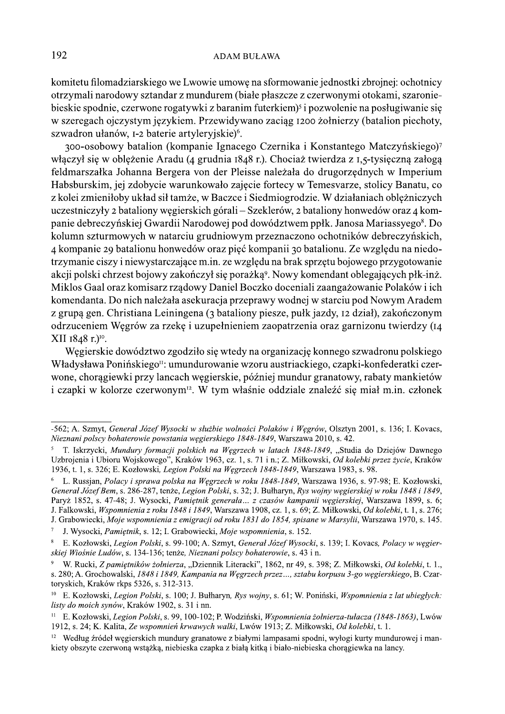komitetu filomadziarskiego we Lwowie umowę na sformowanie jednostki zbrojnej: ochotnicy otrzymali narodowy sztandar z mundurem (białe płaszcze z czerwonymi otokami, szaroniebieskie spodnie, czerwone rogatywki z baranim futerkiem<sup>3</sup> i pozwolenie na posługiwanie się w szeregach ojczystym językiem. Przewidywano zaciąg 1200 żołnierzy (batalion piechoty, szwadron ułanów, I-2 baterie artyleryjskie)<sup>6</sup>.

300-osobowy batalion (kompanie Ignacego Czernika i Konstantego Matczyńskiego)<sup>7</sup> włączył się w oblężenie Aradu (4 grudnia 1848 r.). Chociaż twierdza z 1,5-tysięczną załogą feldmarszałka Johanna Bergera von der Pleisse należała do drugorzędnych w Imperium Habsburskim, jej zdobycie warunkowało zajęcie fortecy w Temesvarze, stolicy Banatu, co z kolei zmieniłoby układ sił tamże, w Baczce i Siedmiogrodzie. W działaniach oblężniczych uczestniczyły 2 bataliony węgierskich górali – Szeklerów, 2 bataliony honwedów oraz 4 kompanie debreczyńskiej Gwardii Narodowej pod dowództwem ppłk. Janosa Mariassyego<sup>8</sup>. Do kolumn szturmowych w natarciu grudniowym przeznaczono ochotników debreczyńskich, 4 kompanie 29 batalionu honwedów oraz pięć kompanii 30 batalionu. Ze względu na niedotrzymanie ciszy i niewystarczające m.in. ze względu na brak sprzętu bojowego przygotowanie akcji polski chrzest bojowy zakończył się porażką<sup>9</sup>. Nowy komendant oblegających płk-inż. Miklos Gaal oraz komisarz rządowy Daniel Boczko doceniali zaangażowanie Polaków i ich komendanta. Do nich należała asekuracja przeprawy wodnej w starciu pod Nowym Aradem z grupą gen. Christiana Leiningena (3 bataliony piesze, pułk jazdy, 12 dział), zakończonym odrzuceniem Węgrów za rzekę i uzupełnieniem zaopatrzenia oraz garnizonu twierdzy (14 XII 1848 r.)<sup>10</sup>.

Węgierskie dowództwo zgodziło się wtedy na organizację konnego szwadronu polskiego Władysława Ponińskiego<sup>n</sup>: umundurowanie wzoru austriackiego, czapki-konfederatki czerwone, chorągiewki przy lancach węgierskie, później mundur granatowy, rabaty mankietów i czapki w kolorze czerwonym<sup>12</sup>. W tym właśnie oddziale znaleźć się miał m.in. członek

J. Grabowiecki, Moje wspomnienia z emigracji od roku 1831 do 1854, spisane w Marsylii, Warszawa 1970, s. 145.

<sup>-562;</sup> A. Szmyt, General Józef Wysocki w służbie wolności Polaków i Wegrów, Olsztyn 2001, s. 136; I. Kovacs, Nieznani polscy bohaterowie powstania węgierskiego 1848-1849, Warszawa 2010, s. 42.

<sup>&</sup>lt;sup>5</sup> T. Iskrzycki, Mundury formacji polskich na Węgrzech w latach 1848-1849, "Studia do Dziejów Dawnego Uzbrojenia i Ubioru Wojskowego", Kraków 1963, cz. 1, s. 71 i n.; Z. Miłkowski, Od kolebki przez życie, Kraków 1936, t. 1, s. 326; E. Kozłowski, Legion Polski na Węgrzech 1848-1849, Warszawa 1983, s. 98.

L. Russjan, Polacy i sprawa polska na Wegrzech w roku 1848-1849, Warszawa 1936, s. 97-98; E. Kozłowski, General Józef Bem, s. 286-287, tenże, Legion Polski, s. 32; J. Bułharyn, Rys wojny wegierskiej w roku 1848 i 1849, Paryż 1852, s. 47-48; J. Wysocki, Pamiętnik generała ... z czasów kampanii węgierskiej, Warszawa 1899, s. 6; J. Falkowski, Wspomnienia z roku 1848 i 1849, Warszawa 1908, cz. 1, s. 69; Z. Miłkowski, Od kolebki, t. 1, s. 276;

J. Wysocki, Pamiętnik, s. 12; I. Grabowiecki, Moje wspomnienia, s. 152.

E. Kozłowski, Legion Polski, s. 99-100; A. Szmyt, Generał Józef Wysocki, s. 139; I. Kovacs, Polacy w węgierskiej Wiośnie Ludów, s. 134-136; tenże, Nieznani polscy bohaterowie, s. 43 i n.

W. Rucki, Z pamietników żołnierza, "Dziennik Literacki", 1862, nr 49, s. 398; Z. Miłkowski, Od kolebki, t. 1., s. 280; A. Grochowalski, 1848 i 1849, Kampania na Węgrzech przez..., sztabu korpusu 3-go węgierskiego, B. Czartoryskich, Kraków rkps 5326, s. 312-313.

E. Kozłowski, Legion Polski, s. 100; J. Bułharyn, Rys wojny, s. 61; W. Poniński, Wspomnienia z lat ubiegłych:  $10$ listy do moich synów, Kraków 1902, s. 31 i nn.

 $11 -$ E. Kozłowski, Legion Polski, s. 99, 100-102; P. Wodziński, Wspomnienia żołnierza-tułacza (1848-1863), Lwów 1912, s. 24; K. Kalita, Ze wspomnień krwawych walki, Lwów 1913; Z. Miłkowski, Od kolebki, t. 1.

<sup>&</sup>lt;sup>12</sup> Według źródeł wegierskich mundury granatowe z białymi lampasami spodni, wyłogi kurty mundurowej i mankiety obszyte czerwoną wstążką, niebieska czapka z białą kitką i biało-niebieska chorągiewka na lancy.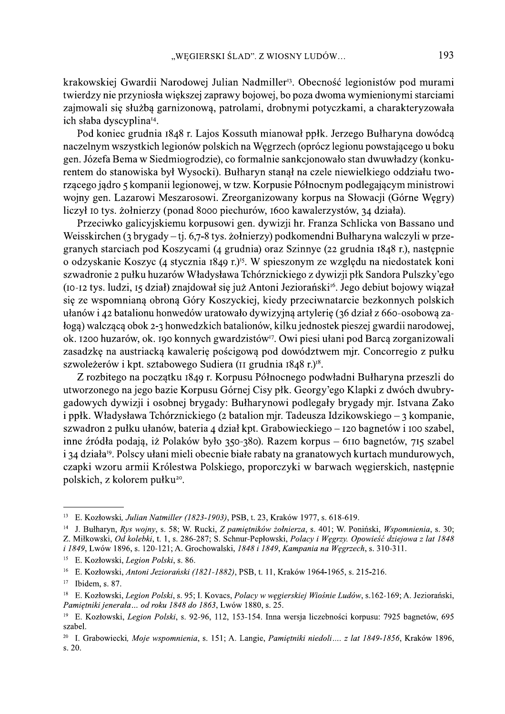krakowskiej Gwardii Narodowej Julian Nadmiller<sup>13</sup>. Obecność legionistów pod murami twierdzy nie przyniosła większej zaprawy bojowej, bo poza dwoma wymienionymi starciami zajmowali się służbą garnizonową, patrolami, drobnymi potyczkami, a charakteryzowała ich słaba dyscyplina<sup>14</sup>.

Pod koniec grudnia 1848 r. Lajos Kossuth mianował ppłk. Jerzego Bułharyna dowódcą naczelnym wszystkich legionów polskich na Węgrzech (oprócz legionu powstającego u boku gen. Józefa Bema w Siedmiogrodzie), co formalnie sankcjonowało stan dwuwładzy (konkurentem do stanowiska był Wysocki). Bułharyn stanał na czele niewielkiego oddziału tworzącego jadro 5 kompanii legionowej, w tzw. Korpusie Północnym podlegającym ministrowi wojny gen. Lazarowi Meszarosowi. Zreorganizowany korpus na Słowacji (Górne Węgry) liczył to tys. żołnierzy (ponad 8000 piechurów, 1600 kawalerzystów, 34 działa).

Przeciwko galicyjskiemu korpusowi gen. dywizji hr. Franza Schlicka von Bassano und Weisskirchen (3 brygady – tj. 6,7-8 tys. żołnierzy) podkomendni Bułharyna walczyli w przegranych starciach pod Koszycami (4 grudnia) oraz Szinnye (22 grudnia 1848 r.), następnie o odzyskanie Koszyc (4 stycznia 1849 r.)<sup>15</sup>. W spieszonym ze względu na niedostatek koni szwadronie 2 pułku huzarów Władysława Tchórznickiego z dywizji płk Sandora Pulszky'ego (IO-I2 tys. ludzi, 15 dział) znajdował się już Antoni Jeziorański<sup>16</sup>. Jego debiut bojowy wiązał się ze wspomnianą obroną Góry Koszyckiej, kiedy przeciwnatarcie bezkonnych polskich ułanów i 42 batalionu honwedów uratowało dywizyjną artylerię (36 dział z 660-osobową załogą) walczącą obok 2-3 honwedzkich batalionów, kilku jednostek pieszej gwardii narodowej, ok. 1200 huzarów, ok. 190 konnych gwardzistów<sup>17</sup>. Owi piesi ułani pod Barca zorganizowali zasadzke na austriacka kawalerie pościgowa pod dowództwem mir. Concorregio z pułku szwoleżerów i kpt. sztabowego Sudiera (II grudnia 1848 r.)<sup>18</sup>.

Z rozbitego na początku 1849 r. Korpusu Północnego podwładni Bułharyna przeszli do utworzonego na jego bazie Korpusu Górnej Cisy płk. Georgy'ego Klapki z dwóch dwubrygadowych dywizji i osobnej brygady: Bułharynowi podlegały brygady mjr. Istvana Zako i ppłk. Władysława Tchórznickiego (2 batalion mjr. Tadeusza Idzikowskiego – 3 kompanie, szwadron 2 pułku ułanów, bateria 4 dział kpt. Grabowieckiego – 120 bagnetów i 100 szabel, inne źródła podają, iż Polaków było 350-380). Razem korpus – 6110 bagnetów, 715 szabel i 34 działa<sup>19</sup>. Polscy ułani mieli obecnie białe rabaty na granatowych kurtach mundurowych, cząpki wzoru armii Królestwa Polskiego, proporczyki w barwach węgierskich, następnie polskich, z kolorem pułku<sup>20</sup>.

<sup>&</sup>lt;sup>13</sup> E. Kozłowski, Julian Natmiller (1823-1903), PSB, t. 23, Kraków 1977, s. 618-619.

<sup>&</sup>lt;sup>14</sup> J. Bułharyn, Rys wojny, s. 58; W. Rucki, Z pamiętników żołnierza, s. 401; W. Poniński, Wspomnienia, s. 30; Z. Miłkowski, Od kolebki, t. 1, s. 286-287; S. Schnur-Pepłowski, Polacy i Węgrzy. Opowieść dziejowa z lat 1848 i 1849, Lwów 1896, s. 120-121; A. Grochowalski, 1848 i 1849, Kampania na Węgrzech, s. 310-311.

<sup>&</sup>lt;sup>15</sup> E. Kozłowski, Legion Polski, s. 86.

<sup>&</sup>lt;sup>16</sup> E. Kozłowski, *Antoni Jeziorański (1821-1882)*, PSB, t. 11, Kraków 1964-1965, s. 215-216.

 $17$ Ibidem, s. 87.

<sup>&</sup>lt;sup>18</sup> E. Kozłowski, Legion Polski, s. 95; I. Kovacs, Polacy w węgierskiej Wiośnie Ludów, s.162-169; A. Jeziorański, Pamietniki jenerała ... od roku 1848 do 1863, Lwów 1880, s. 25.

 $19$ E. Kozłowski, Legion Polski, s. 92-96, 112, 153-154. Inna wersja liczebności korpusu: 7925 bagnetów, 695 szabel.

<sup>&</sup>lt;sup>20</sup> I. Grabowiecki, Moje wspomnienia, s. 151; A. Langie, Pamiętniki niedoli.... z lat 1849-1856, Kraków 1896,  $s. 20.$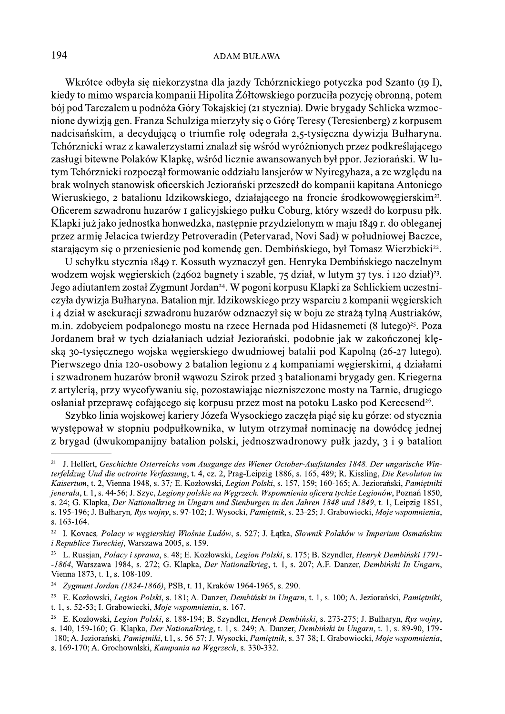Wkrótce odbyła się niekorzystna dla jazdy Tchórznickiego potyczka pod Szanto (19 I), kiedy to mimo wsparcia kompanii Hipolita Żółtowskiego porzuciła pozycję obronną, potem bój pod Tarczalem u podnóża Góry Tokajskiej (21 stycznia). Dwie brygady Schlicka wzmocnione dywizją gen. Franza Schulziga mierzyły się o Górę Teresy (Teresienberg) z korpusem nadcisańskim, a decydującą o triumfie rolę odegrała 2,5-tysięczna dywizja Bułharyna. Tchórznicki wraz z kawalerzystami znalazł się wśród wyróżnionych przez podkreślającego zasługi bitewne Polaków Klapkę, wśród licznie awansowanych był ppor. Jeziorański. W lutym Tchórznicki rozpoczął formowanie oddziału lansjerów w Nyiregyhaza, a ze względu na brak wolnych stanowisk oficerskich Jeziorański przeszedł do kompanii kapitana Antoniego Wieruskiego, 2 batalionu Idzikowskiego, działającego na froncie środkowowęgierskim<sup>21</sup>. Oficerem szwadronu huzarów I galicyjskiego pułku Coburg, który wszedł do korpusu płk. Klapki już jako jednostka honwedzka, następnie przydzielonym w maju 1849 r. do obleganej przez armię Jelacica twierdzy Petroveradin (Petervarad, Novi Sad) w południowej Baczce, starającym się o przeniesienie pod komendę gen. Dembińskiego, był Tomasz Wierzbicki<sup>22</sup>.

U schyłku stycznia 1849 r. Kossuth wyznaczył gen. Henryka Dembińskiego naczelnym wodzem wojsk węgierskich (24602 bagnety i szable, 75 dział, w lutym 37 tys. i 120 dział)<sup>23</sup>. Jego adiutantem został Zygmunt Jordan<sup>24</sup>. W pogoni korpusu Klapki za Schlickiem uczestniczyła dywizja Bułharyna. Batalion mjr. Idzikowskiego przy wsparciu 2 kompanii węgierskich i 4 dział w asekuracji szwadronu huzarów odznaczył się w boju ze strażą tylną Austriaków, m.in. zdobyciem podpalonego mostu na rzece Hernada pod Hidasnemeti (8 lutego)<sup>25</sup>. Poza Jordanem brał w tych działaniach udział Jeziorański, podobnie jak w zakończonej klęską 30-tysięcznego wojska węgierskiego dwudniowej batalii pod Kapolną (26-27 lutego). Pierwszego dnia 120-osobowy 2 batalion legionu z 4 kompaniami węgierskimi, 4 działami i szwadronem huzarów bronił wąwozu Szirok przed 3 batalionami brygady gen. Kriegerna z artylerią, przy wycofywaniu się, pozostawiając niezniszczone mosty na Tarnie, drugiego osłaniał przeprawę cofającego się korpusu przez most na potoku Lasko pod Kerecsend<sup>26</sup>.

Szybko linia wojskowej kariery Józefa Wysockiego zaczęła piąć się ku górze: od stycznia występował w stopniu podpułkownika, w lutym otrzymał nominację na dowódcę jednej z brygad (dwukompanijny batalion polski, jednoszwadronowy pułk jazdy, 3 i 9 batalion

<sup>&</sup>lt;sup>21</sup> J. Helfert, Geschichte Osterreichs vom Ausgange des Wiener October-Ausfstandes 1848. Der ungarische Winterfeldzug Und die octroirte Verfassung, t. 4, cz. 2, Prag-Leipzig 1886, s. 165, 489; R. Kissling, Die Revoluton im Kaisertum, t. 2. Vienna 1948, s. 37: E. Kozłowski, Legion Polski, s. 157, 159; 160-165; A. Jeziorański, Pamietniki jenerała, t. 1, s. 44-56; J. Szyc, Legiony polskie na Węgrzech. Wspomnienia oficera tychże Legionów, Poznań 1850, s. 24; G. Klapka, Der Nationalkrieg in Ungarn und Sienburgen in den Jahren 1848 und 1849, t. 1, Leipzig 1851, s. 195-196; J. Bułharyn, Rys wojny, s. 97-102; J. Wysocki, Pamietnik, s. 23-25; J. Grabowiecki, Moje wspomnienia, s. 163-164.

 $22\,$ I. Kovacs, Polacy w węgierskiej Wiośnie Ludów, s. 527; J. Łątka, Słownik Polaków w Imperium Osmańskim *i Republice Tureckiej*, Warszawa 2005, s. 159.

<sup>&</sup>lt;sup>23</sup> L. Russian, *Polacv i sprawa, s.* 48; E. Kozłowski, *Legion Polski, s.* 175; B. Szyndler, *Henryk Dembiński 1791*--1864, Warszawa 1984, s. 272; G. Klapka, Der Nationalkrieg, t. 1, s. 207; A.F. Danzer, Dembiński In Ungarn, Vienna 1873, t. 1, s. 108-109.

 $24\,$ Zygmunt Jordan (1824-1866), PSB, t. 11, Kraków 1964-1965, s. 290.

<sup>25</sup> E. Kozłowski, Legion Polski, s. 181; A. Danzer, Dembiński in Ungarn, t. 1, s. 100; A. Jeziorański, Pamiętniki, t. 1, s. 52-53; I. Grabowiecki, Moje wspomnienia, s. 167.

<sup>26</sup> E. Kozłowski, Legion Polski, s. 188-194; B. Szyndler, Henryk Dembiński, s. 273-275; J. Bułharyn, Rys wojny, s. 140, 159-160; G. Klapka, Der Nationalkrieg, t. 1, s. 249; A. Danzer, Dembiński in Ungarn, t. 1, s. 89-90, 179--180; A. Jeziorański, Pamiętniki, t.1, s. 56-57; J. Wysocki, Pamiętnik, s. 37-38; I. Grabowiecki, Moje wspomnienia,

s. 169-170; A. Grochowalski, Kampania na Wegrzech, s. 330-332.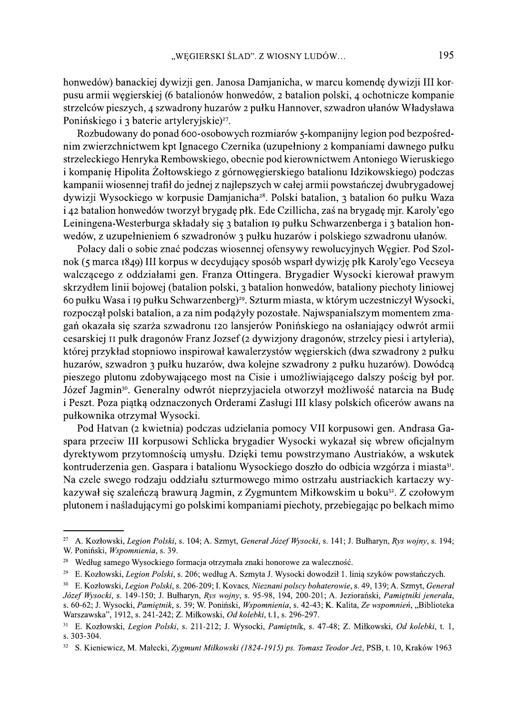honwedów) banackiej dywizji gen. Janosa Damjanicha, w marcu komendę dywizji III korpusu armii węgierskiej (6 batalionów honwedów, 2 batalion polski, 4 ochotnicze kompanie strzelców pieszych, 4 szwadrony huzarów 2 pułku Hannover, szwadron ułanów Władysława Ponińskiego i 3 baterie artyleryjskie)<sup>27</sup>.

Rozbudowany do ponad 600-osobowych rozmiarów 5-kompanijny legion pod bezpośrednim zwierzchnictwem kpt Ignacego Czernika (uzupełniony 2 kompaniami dawnego pułku strzeleckiego Henryka Rembowskiego, obecnie pod kierownictwem Antoniego Wieruskiego i kompanię Hipolita Żołtowskiego z górnowęgierskiego batalionu Idzikowskiego) podczas kampanii wiosennej trafił do jednej z najlepszych w całej armii powstańczej dwubrygadowej dywizji Wysockiego w korpusie Damjanicha<sup>28</sup>. Polski batalion, 3 batalion 60 pułku Waza i 42 batalion honwedów tworzył brygadę płk. Ede Czillicha, zaś na brygadę mjr. Karoly'ego Leiningena-Westerburga składały się 3 batalion 19 pułku Schwarzenberga i 3 batalion honwedów, z uzupełnieniem 6 szwadronów 3 pułku huzarów i polskiego szwadronu ułanów.

Polacy dali o sobie znać podczas wiosennej ofensywy rewolucyjnych Węgier. Pod Szolnok (5 marca 1849) III korpus w decydujący sposób wsparł dywizję płk Karoly'ego Vecseya walczącego z oddziałami gen. Franza Ottingera. Brygadier Wysocki kierował prawym skrzydłem linii bojowej (batalion polski, 3 batalion honwedów, bataliony piechoty liniowej 60 pułku Wasa i 19 pułku Schwarzenberg)<sup>29</sup>. Szturm miasta, w którym uczestniczył Wysocki, rozpoczął polski batalion, a za nim podążyły pozostałe. Najwspanialszym momentem zmagań okazała się szarża szwadronu 120 lansjerów Ponińskiego na osłaniający odwrót armii cesarskiej II pułk dragonów Franz Jozsef (2 dywizjony dragonów, strzelcy piesi i artyleria), której przykład stopniowo inspirował kawalerzystów węgierskich (dwa szwadrony 2 pułku huzarów, szwadron 3 pułku huzarów, dwa kolejne szwadrony 2 pułku huzarów). Dowódcą pieszego plutonu zdobywającego most na Cisie i umożliwiającego dalszy pościg był por. Józef Jagmin<sup>30</sup>. Generalny odwrót nieprzyjaciela otworzył możliwość natarcia na Budę i Peszt. Poza piątką odznaczonych Orderami Zasługi III klasy polskich oficerów awans na pułkownika otrzymał Wysocki.

Pod Hatvan (2 kwietnia) podczas udzielania pomocy VII korpusowi gen. Andrasa Gaspara przeciw III korpusowi Schlicka brygadier Wysocki wykazał się wbrew oficjalnym dyrektywom przytomnością umysłu. Dzięki temu powstrzymano Austriaków, a wskutek kontruderzenia gen. Gaspara i batalionu Wysockiego doszło do odbicia wzgórza i miasta<sup>31</sup>. Na czele swego rodzaju oddziału szturmowego mimo ostrzału austriackich kartaczy wykazywał się szaleńczą brawurą Jagmin, z Zygmuntem Miłkowskim u boku<sup>32</sup>. Z czołowym plutonem i naśladującymi go polskimi kompaniami piechoty, przebiegając po belkach mimo

<sup>&</sup>lt;sup>27</sup> A. Kozłowski, Legion Polski, s. 104; A. Szmyt, Generał Józef Wysocki, s. 141; J. Bułharyn, Rys wojny, s. 194; W. Poniński, Wspomnienia, s. 39.

<sup>&</sup>lt;sup>28</sup> Według samego Wysockiego formacja otrzymała znaki honorowe za waleczność.

<sup>29</sup> E. Kozłowski, Legion Polski, s. 206; według A. Szmyta J. Wysocki dowodził 1. linią szyków powstańczych.

 $30\,$ E. Kozłowski, Legion Polski, s. 206-209; I. Kovacs, Nieznani polscy bohaterowie, s. 49, 139; A. Szmyt, General Józef Wysocki, s. 149-150; J. Bułharyn, Rys wojny, s. 95-98, 194, 200-201; A. Jeziorański, Pamiętniki jenerała, s. 60-62; J. Wysocki, Pamiętnik, s. 39; W. Poniński, Wspomnienia, s. 42-43; K. Kalita, Ze wspomnień, "Biblioteka Warszawska", 1912, s. 241-242; Z. Miłkowski, Od kolebki, t.1, s. 296-297.

<sup>&</sup>lt;sup>31</sup> E. Kozłowski, Legion Polski, s. 211-212; J. Wysocki, Pamiętnik, s. 47-48; Z. Miłkowski, Od kolebki, t. 1, s. 303-304.

<sup>&</sup>lt;sup>32</sup> S. Kieniewicz, M. Małecki, Zygmunt Miłkowski (1824-1915) ps. Tomasz Teodor Jeż, PSB, t. 10, Kraków 1963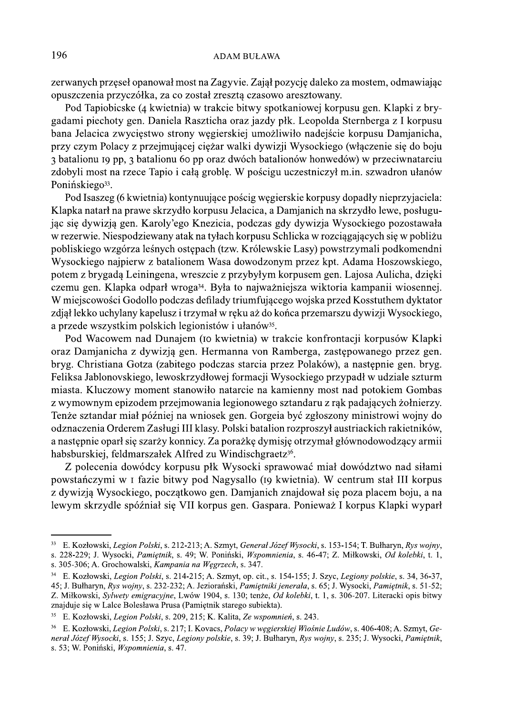zerwanych przęseł opanował most na Zagyvie. Zajął pozycję daleko za mostem, odmawiając opuszczenia przyczółka, za co został zresztą czasowo aresztowany.

Pod Tapiobicske (4 kwietnia) w trakcie bitwy spotkaniowej korpusu gen. Klapki z brygadami piechoty gen. Daniela Raszticha oraz jazdy płk. Leopolda Sternberga z I korpusu bana Jelacica zwycięstwo strony węgierskiej umożliwiło nadejście korpusu Damjanicha, przy czym Polacy z przejmującej ciężar walki dywizji Wysockiego (włączenie się do boju 3 batalionu 19 pp, 3 batalionu 60 pp oraz dwóch batalionów honwedów) w przeciwnatarciu zdobyli most na rzece Tapio i całą groblę. W pościgu uczestniczył m.in. szwadron ułanów Ponińskiego<sup>33</sup>.

Pod Isaszeg (6 kwietnia) kontynuujące pościg węgierskie korpusy dopadły nieprzyjaciela: Klapka natarł na prawe skrzydło korpusu Jelacica, a Damjanich na skrzydło lewe, posługując się dywizją gen. Karoly'ego Knezicia, podczas gdy dywizja Wysockiego pozostawała w rezerwie. Niespodziewany atak na tyłach korpusu Schlicka w rozciągających się w pobliżu pobliskiego wzgórza leśnych ostępach (tzw. Królewskie Lasy) powstrzymali podkomendni Wysockiego najpierw z batalionem Wasa dowodzonym przez kpt. Adama Hoszowskiego, potem z brygadą Leiningena, wreszcie z przybyłym korpusem gen. Lajosa Aulicha, dzięki czemu gen. Klapka odparł wroga<sup>34</sup>. Była to najważniejsza wiktoria kampanii wiosennej. W miejscowości Godollo podczas defilady triumfującego wojska przed Kosstuthem dyktator zdjął lekko uchylany kapelusz i trzymał w ręku aż do końca przemarszu dywizji Wysockiego, a przede wszystkim polskich legionistów i ułanów<sup>35</sup>.

Pod Wacowem nad Dunajem (to kwietnia) w trakcie konfrontacji korpusów Klapki oraz Damjanicha z dywizja gen. Hermanna von Ramberga, zastępowanego przez gen. bryg. Christiana Gotza (zabitego podczas starcia przez Polaków), a następnie gen. bryg. Feliksa Jablonovskiego, lewoskrzydłowej formacji Wysockiego przypadł w udziale szturm miasta. Kluczowy moment stanowiło natarcie na kamienny most nad potokiem Gombas z wymownym epizodem przejmowania legionowego sztandaru z rąk padających żołnierzy. Tenże sztandar miał później na wniosek gen. Gorgeia być zgłoszony ministrowi wojny do odznaczenia Orderem Zasługi III klasy. Polski batalion rozproszył austriackich rakietników, a następnie oparł się szarży konnicy. Za porażkę dymisie otrzymał głównodowodzący armii habsburskiej, feldmarszałek Alfred zu Windischgraetz<sup>36</sup>.

Z polecenia dowódcy korpusu płk Wysocki sprawować miał dowództwo nad siłami powstańczymi w I fazie bitwy pod Nagysallo (19 kwietnia). W centrum stał III korpus z dywizją Wysockiego, początkowo gen. Damjanich znajdował się poza placem boju, a na lewym skrzydle spóźniał się VII korpus gen. Gaspara. Ponieważ I korpus Klapki wyparł

<sup>&</sup>lt;sup>33</sup> E. Kozłowski, Legion Polski, s. 212-213; A. Szmyt, General Józef Wysocki, s. 153-154; T. Bułharyn, Rys wojny, s. 228-229; J. Wysocki, Pamietnik, s. 49; W. Poniński, Wspomnienia, s. 46-47; Z. Miłkowski, Od kolebki, t. 1, s. 305-306; A. Grochowalski, Kampania na Wegrzech, s. 347.

<sup>&</sup>lt;sup>34</sup> E. Kozłowski, *Legion Polski*, s. 214-215; A. Szmyt, op. cit., s. 154-155; J. Szyc, *Legiony polskie*, s. 34, 36-37, 45; J. Bułharyn, Rys wojny, s. 232-232; A. Jeziorański, Pamietniki jenerala, s. 65; J. Wysocki, Pamietnik, s. 51-52; Z. Miłkowski, Sylwety emigracyjne, Lwów 1904, s. 130; tenże, Od kolebki, t. 1, s. 306-207. Literacki opis bitwy znajduje się w Lalce Bolesława Prusa (Pamiętnik starego subiekta).

<sup>35</sup> E. Kozłowski, Legion Polski, s. 209, 215; K. Kalita, Ze wspomnień, s. 243.

E. Kozłowski, Legion Polski, s. 217; I. Kovacs, Polacy w wegierskiej Wiośnie Ludów, s. 406-408; A. Szmyt, Ge- $36\,$ neral Józef Wysocki, s. 155; J. Szyc, Legiony polskie, s. 39; J. Bułharyn, Rys wojny, s. 235; J. Wysocki, Pamietnik, s. 53; W. Poniński, Wspomnienia, s. 47.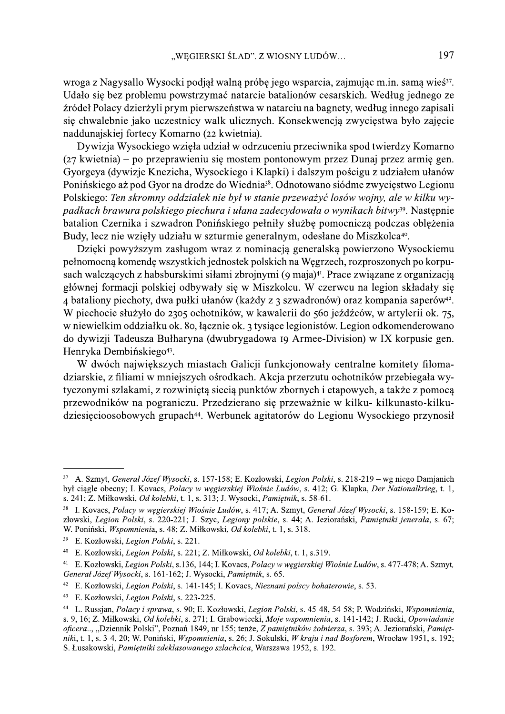wroga z Nagysallo Wysocki podjął walną próbę jego wsparcia, zajmując m.in. samą wieś<sup>37</sup>. Udało się bez problemu powstrzymać natarcie batalionów cesarskich. Według jednego ze źródeł Polacy dzierżyli prym pierwszeństwa w natarciu na bagnety, według innego zapisali się chwalebnie jako uczestnicy walk ulicznych. Konsekwencją zwycięstwa było zajęcie naddunajskiej fortecy Komarno (22 kwietnia).

Dywizja Wysockiego wzięła udział w odrzuceniu przeciwnika spod twierdzy Komarno (27 kwietnia) – po przeprawieniu się mostem pontonowym przez Dunaj przez armię gen. Gyorgeya (dywizje Knezicha, Wysockiego i Klapki) i dalszym pościgu z udziałem ułanów Ponińskiego aż pod Gyor na drodze do Wiednia<sup>38</sup>. Odnotowano siódme zwycięstwo Legionu Polskiego: Ten skromny oddziałek nie był w stanie przeważyć losów wojny, ale w kilku wypadkach brawura polskiego piechura i ułana zadecydowała o wynikach bitwy<sup>39</sup>. Następnie batalion Czernika i szwadron Ponińskiego pełniły służbę pomocniczą podczas oblężenia Budy, lecz nie wzięły udziału w szturmie generalnym, odesłane do Miszkolca<sup>40</sup>.

Dzięki powyższym zasługom wraz z nominacją generalską powierzono Wysockiemu pełnomocną komendę wszystkich jednostek polskich na Węgrzech, rozproszonych po korpusach walczących z habsburskimi siłami zbrojnymi (9 maja)<sup>41</sup>. Prace związane z organizacją głównej formacji polskiej odbywały się w Miszkolcu. W czerwcu na legion składały się 4 bataliony piechoty, dwa pułki ułanów (każdy z 3 szwadronów) oraz kompania saperów<sup>42</sup>. W piechocie służyło do 2305 ochotników, w kawalerii do 560 jeźdźców, w artylerii ok. 75, w niewielkim oddziałku ok. 80, łącznie ok. 3 tysiące legionistów. Legion odkomenderowano do dywizii Tadeusza Bułharyna (dwubrygadowa 19 Armee-Division) w IX korpusie gen. Henryka Dembińskiego<sup>43</sup>.

W dwóch największych miastach Galicji funkcjonowały centralne komitety filomadziarskie, z filiami w mniejszych ośrodkach. Akcja przerzutu ochotników przebiegała wytyczonymi szlakami, z rozwiniętą siecią punktów zbornych i etapowych, a także z pomocą przewodników na pograniczu. Przedzierano się przeważnie w kilku- kilkunasto-kilkudziesięcioosobowych grupach<sup>44</sup>. Werbunek agitatorów do Legionu Wysockiego przynosił

<sup>&</sup>lt;sup>37</sup> A. Szmyt. *General Józef Wysocki, s.* 157-158; E. Kozłowski, *Legion Polski, s.* 218-219 – wg niego Damianich był ciągle obecny; I. Kovacs, Polacy w węgierskiej Wiośnie Ludów, s. 412; G. Klapka, Der Nationalkrieg, t. 1, s. 241; Z. Miłkowski, Od kolebki, t. 1, s. 313; J. Wysocki, Pamiętnik, s. 58-61.

I. Kovacs, Polacy w węgierskiej Wiośnie Ludów, s. 417; A. Szmyt, Generał Józef Wysocki, s. 158-159; E. Kozłowski, Legion Polski, s. 220-221; J. Szyc, Legiony polskie, s. 44; A. Jeziorański, Pamiętniki jenerała, s. 67; W. Poniński, Wspomnienia, s. 48; Z. Miłkowski, Od kolebki, t. 1, s. 318.

<sup>39</sup> E. Kozłowski, Legion Polski, s. 221.

<sup>40</sup> E. Kozłowski, Legion Polski, s. 221; Z. Miłkowski, Od kolebki, t. 1, s.319.

E. Kozłowski, Legion Polski, s.136, 144; I. Kovacs, Polacy w węgierskiej Wiośnie Ludów, s. 477-478; A. Szmyt, 41 General Józef Wysocki, s. 161-162; J. Wysocki, Pamiętnik, s. 65.

 $42\,$ E. Kozłowski, Legion Polski, s. 141-145; I. Kovacs, Nieznani polscy bohaterowie, s. 53.

 $43\,$ E. Kozłowski, Legion Polski, s. 223-225.

 $44$ L. Russian, Polacy i sprawa, s. 90; E. Kozłowski, Legion Polski, s. 45-48, 54-58; P. Wodziński, Wspomnienia, s. 9, 16; Z. Miłkowski, Od kolebki, s. 271; I. Grabowiecki, Moje wspomnienia, s. 141-142; J. Rucki, Opowiadanie oficera.., "Dziennik Polski", Poznań 1849, nr 155; tenże, Z pamiętników żołnierza, s. 393; A. Jeziorański, Pamiętniki, t. 1, s. 3-4, 20; W. Poniński, *Wspomnienia*, s. 26; J. Sokulski, *W kraju i nad Bosforem*, Wrocław 1951, s. 192; S. Łusakowski, Pamietniki zdeklasowanego szlachcica, Warszawa 1952, s. 192.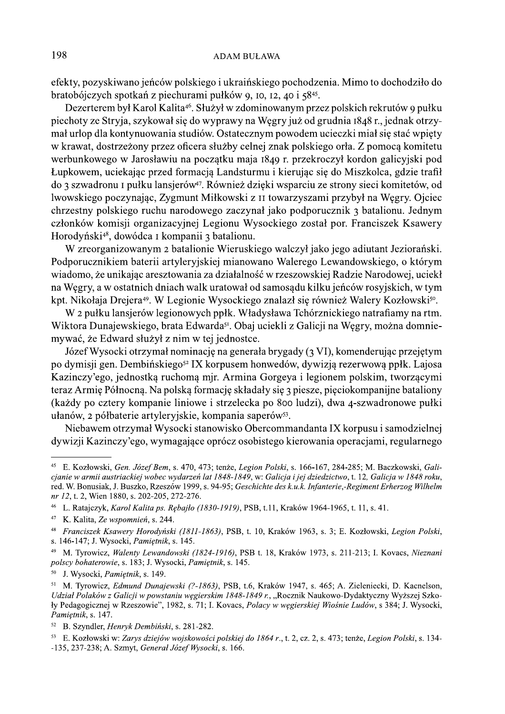efekty, pozyskiwano jeńców polskiego i ukraińskiego pochodzenia. Mimo to dochodziło do bratobójczych spotkań z piechurami pułków 9, 10, 12, 40 i 58<sup>45</sup>.

Dezerterem był Karol Kalita<sup>46</sup>. Służył w zdominowanym przez polskich rekrutów 9 pułku piechoty ze Stryja, szykował się do wyprawy na Węgry już od grudnia 1848 r., jednak otrzymał urlop dla kontynuowania studiów. Ostatecznym powodem ucieczki miał się stać wpięty w krawat, dostrzeżony przez oficera służby celnej znak polskiego orła. Z pomocą komitetu werbunkowego w Jarosławiu na początku maja 1849 r. przekroczył kordon galicyjski pod Łupkowem, uciekając przed formacją Landsturmu i kierując się do Miszkolca, gdzie trafił do 3 szwadronu I pułku lansjerów<sup>47</sup>. Również dzieki wsparciu ze strony sieci komitetów, od lwowskiego poczynając, Zygmunt Miłkowski z II towarzyszami przybył na Węgry. Ojciec chrzestny polskiego ruchu narodowego zaczynał jako podporucznik 3 batalionu. Jednym członków komisji organizacyjnej Legionu Wysockiego został por. Franciszek Ksawery Horodyński<sup>48</sup>, dowódca I kompanii 3 batalionu.

W zreorganizowanym 2 batalionie Wieruskiego walczył jako jego adjutant Jeziorański. Podporucznikiem baterii artyleryjskiej mianowano Walerego Lewandowskiego, o którym wiadomo, że unikając aresztowania za działalność w rzeszowskiej Radzie Narodowej, uciekł na Wegry, a w ostatnich dniach walk uratował od samosadu kilku jeńców rosyjskich, w tym kpt. Nikołaja Drejera<sup>49</sup>. W Legionie Wysockiego znalazł się również Walery Kozłowski<sup>50</sup>.

W 2 pułku lansjerów legionowych ppłk. Władysława Tchórznickiego natrafiamy na rtm. Wiktora Dunajewskiego, brata Edwarda<sup>51</sup>. Obaj uciekli z Galicji na Węgry, można domniemywać, że Edward służył z nim w tej jednostce.

Józef Wysocki otrzymał nominację na generała brygady (3 VI), komenderując przejętym po dymisji gen. Dembińskiego<sup>52</sup> IX korpusem honwedów, dywizją rezerwową ppłk. Lajosa Kazinczy'ego, jednostką ruchomą mjr. Armina Gorgeya i legionem polskim, tworzącymi teraz Armię Północną. Na polską formację składały się 3 piesze, pięciokompanijne bataliony (każdy po cztery kompanie liniowe i strzelecka po 800 ludzi), dwa 4-szwadronowe pułki ułanów, 2 półbaterie artyleryjskie, kompania saperów<sup>53</sup>.

Niebawem otrzymał Wysocki stanowisko Obercommandanta IX korpusu i samodzielnej dywizji Kazinczy'ego, wymagające oprócz osobistego kierowania operacjami, regularnego

 $45\,$ E. Kozłowski, Gen. Józef Bem, s. 470, 473; tenże, Legion Polski, s. 166-167, 284-285; M. Baczkowski, Galicjanie w armii austriackiej wobec wydarzeń lat 1848-1849, w: Galicja i jej dziedzictwo, t. 12, Galicja w 1848 roku, red. W. Bonusiak, J. Buszko, Rzeszów 1999, s. 94-95; Geschichte des k.u.k. Infanterie,-Regiment Erherzog Wilhelm nr 12, t. 2, Wien 1880, s. 202-205, 272-276.

<sup>&</sup>lt;sup>46</sup> L. Ratajczyk, *Karol Kalita ps. Rębajło (1830-1919)*, PSB, t.11, Kraków 1964-1965, t. 11, s. 41.

 $47\,$ K. Kalita, Ze wspomnień, s. 244.

<sup>&</sup>lt;sup>48</sup> Franciszek Ksawery Horodyński (1811-1863), PSB, t. 10, Kraków 1963, s. 3; E. Kozłowski, Legion Polski, s. 146-147; J. Wysocki, Pamiętnik, s. 145.

M. Tyrowicz, Walenty Lewandowski (1824-1916), PSB t. 18, Kraków 1973, s. 211-213; I. Kovacs, Nieznani polscy bohaterowie, s. 183; J. Wysocki, Pamiętnik, s. 145.

<sup>50</sup> J. Wysocki, Pamietnik, s. 149.

 $51\,$ M. Tyrowicz, Edmund Dunajewski (?-1863), PSB, t.6, Kraków 1947, s. 465; A. Zieleniecki, D. Kacnelson, Udział Polaków z Galicji w powstaniu węgierskim 1848-1849 r., "Rocznik Naukowo-Dydaktyczny Wyższej Szkoły Pedagogicznej w Rzeszowie", 1982, s. 71; I. Kovacs, Polacy w węgierskiej Wiośnie Ludów, s 384; J. Wysocki, Pamiętnik, s. 147.

 $52\,$ B. Szyndler, Henryk Dembiński, s. 281-282.

<sup>&</sup>lt;sup>53</sup> E. Kozłowski w: Zarvs dziejów wojskowości polskiej do 1864 r., t. 2, cz. 2, s. 473; tenże, Legion Polski, s. 134--135, 237-238; A. Szmyt, General Józef Wysocki, s. 166.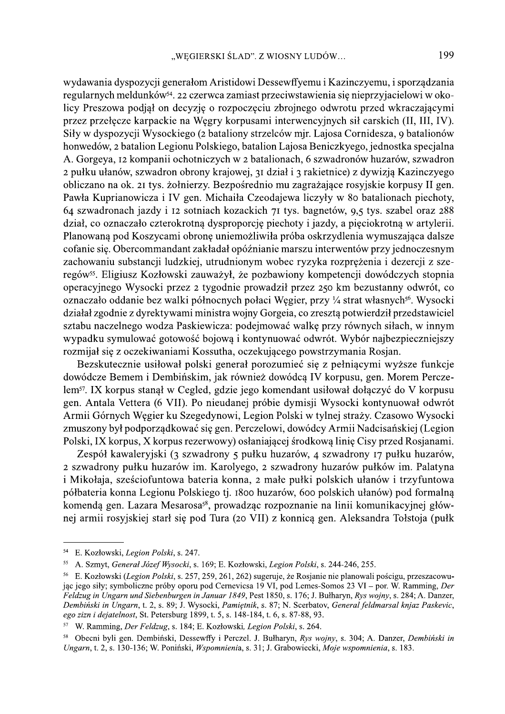wydawania dyspozycji generałom Aristidowi Dessewffyemu i Kazinczyemu, i sporządzania regularnych meldunków<sup>54</sup>. 22 czerwca zamiast przeciwstawienia się nieprzyjacielowi w okolicy Preszowa podjał on decyzję o rozpoczęciu zbrojnego odwrotu przed wkraczającymi przez przełęcze karpackie na Węgry korpusami interwencyjnych sił carskich (II, III, IV). Siły w dyspozycji Wysockiego (2 bataliony strzelców mjr. Lajosa Cornidesza, 9 batalionów honwedów, 2 batalion Legionu Polskiego, batalion Lajosa Beniczkyego, jednostka specjalna A. Gorgeya, 12 kompanii ochotniczych w 2 batalionach, 6 szwadronów huzarów, szwadron 2 pułku ułanów, szwadron obrony krajowej, 31 dział i 3 rakietnice) z dywizją Kazinczyego obliczano na ok. 21 tys. żołnierzy. Bezpośrednio mu zagrażające rosyjskie korpusy II gen. Pawła Kuprianowicza i IV gen. Michaiła Czeodajewa liczyły w 80 batalionach piechoty, 64 szwadronach jazdy i 12 sotniach kozackich 71 tys. bagnetów, 9,5 tys. szabel oraz 288 dział, co oznaczało czterokrotną dysproporcję piechoty i jazdy, a pięciokrotną w artylerii. Planowaną pod Koszycami obronę uniemożliwiła próba oskrzydlenia wymuszająca dalsze cofanie się. Obercommandant zakładał opóźnianie marszu interwentów przy jednoczesnym zachowaniu substancji ludzkiej, utrudnionym wobec ryzyka rozprężenia i dezercji z szeregów<sup>55</sup>. Eligiusz Kozłowski zauważył, że pozbawiony kompetencji dowódczych stopnia operacyjnego Wysocki przez 2 tygodnie prowadził przez 250 km bezustanny odwrót, co oznaczało oddanie bez walki północnych połaci Węgier, przy ¼ strat własnych<sup>56</sup>. Wysocki działał zgodnie z dyrektywami ministra wojny Gorgeia, co zresztą potwierdził przedstawiciel sztabu naczelnego wodza Paskiewicza: podejmować walkę przy równych siłach, w innym wypadku symulować gotowość bojową i kontynuować odwrót. Wybór najbezpieczniejszy rozmijał się z oczekiwaniami Kossutha, oczekującego powstrzymania Rosjan.

Bezskutecznie usiłował polski generał porozumieć się z pełniącymi wyższe funkcje dowódcze Bemem i Dembińskim, jak również dowódcą IV korpusu, gen. Morem Perczelem<sup>57</sup>. IX korpus stanął w Cegled, gdzie jego komendant usiłował dołączyć do V korpusu gen. Antala Vettera (6 VII). Po nieudanej próbie dymisji Wysocki kontynuował odwrót Armii Górnych Węgier ku Szegedynowi, Legion Polski w tylnej straży. Czasowo Wysocki zmuszony był podporządkować się gen. Perczelowi, dowódcy Armii Nadcisańskiej (Legion Polski, IX korpus, X korpus rezerwowy) osłaniającej środkową linię Cisy przed Rosjanami.

Zespół kawaleryjski (3 szwadrony 5 pułku huzarów, 4 szwadrony 17 pułku huzarów, 2 szwadrony pułku huzarów im. Karolyego, 2 szwadrony huzarów pułków im. Palatyna i Mikołaja, sześciofuntowa bateria konna, 2 małe pułki polskich ułanów i trzyfuntowa półbateria konna Legionu Polskiego tj. 1800 huzarów, 600 polskich ułanów) pod formalną komendą gen. Lazara Mesarosa<sup>58</sup>, prowadząc rozpoznanie na linii komunikacyjnej głównej armii rosyjskiej starł się pod Tura (20 VII) z konnicą gen. Aleksandra Tołstoja (pułk

<sup>54</sup> E. Kozłowski, Legion Polski, s. 247.

<sup>55</sup> A. Szmyt, General Józef Wysocki, s. 169; E. Kozłowski, Legion Polski, s. 244-246, 255.

<sup>56</sup> E. Kozłowski (Legion Polski, s. 257, 259, 261, 262) sugeruje, że Rosianie nie planowali pościgu, przeszacowując jego siły; symboliczne próby oporu pod Cernevicsa 19 VI, pod Lemes-Somos 23 VI - por. W. Ramming, Der Feldzug in Ungarn und Siebenburgen in Januar 1849, Pest 1850, s. 176; J. Bułharyn, Rys wojny, s. 284; A. Danzer, Dembiński in Ungarn, t. 2, s. 89; J. Wysocki, Pamiętnik, s. 87; N. Scerbatov, General feldmarsal knjaz Paskevic, ego zizn i dejatelnost, St. Petersburg 1899, t. 5, s. 148-184, t. 6, s. 87-88, 93.

<sup>57</sup> W. Ramming, Der Feldzug, s. 184; E. Kozłowski, Legion Polski, s. 264.

Obecni byli gen. Dembiński, Dessewffy i Perczel, J. Bułharyn, Rys wojny, s. 304; A. Danzer, Dembiński in 58 Ungarn, t. 2, s. 130-136; W. Poniński, Wspomnienia, s. 31; J. Grabowiecki, Moje wspomnienia, s. 183.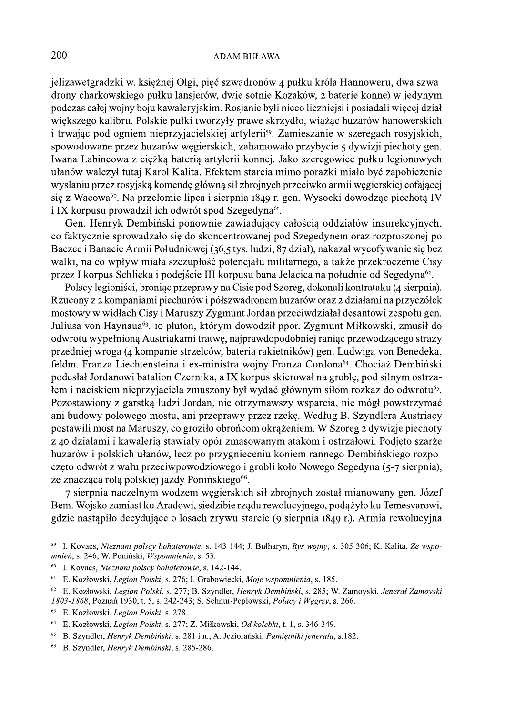jelizawetgradzki w. księżnej Olgi, pięć szwadronów 4 pułku króla Hannoweru, dwa szwadrony charkowskiego pułku lansjerów, dwie sotnie Kozaków, 2 baterie konne) w jedynym podczas całej wojny boju kawaleryjskim. Rosjanie byli nieco liczniejsi i posiadali więcej dział większego kalibru. Polskie pułki tworzyły prawe skrzydło, wiążąc huzarów hanowerskich i trwając pod ogniem nieprzyjacielskiej artylerii<sup>59</sup>. Zamieszanie w szeregach rosyjskich, spowodowane przez huzarów węgierskich, zahamowało przybycie 5 dywizji piechoty gen. Iwana Labincowa z ciężką baterią artylerii konnej. Jako szeregowiec pułku legionowych ułanów walczył tutaj Karol Kalita. Efektem starcia mimo porażki miało być zapobieżenie wysłaniu przez rosyjską komendę główną sił zbrojnych przeciwko armii węgierskiej cofającej się z Wacowa<sup>60</sup>. Na przełomie lipca i sierpnia 1849 r. gen. Wysocki dowodząc piechotą IV i IX korpusu prowadził ich odwrót spod Szegedyna<sup>61</sup>.

Gen. Henryk Dembiński ponownie zawiadujący całością oddziałów insurekcyjnych, co faktycznie sprowadzało się do skoncentrowanej pod Szegedynem oraz rozproszonej po Baczce i Banacie Armii Południowej (36,5 tys. ludzi, 87 dział), nakazał wycofywanie się bez walki, na co wpływ miała szczupłość potencjału militarnego, a także przekroczenie Cisy przez I korpus Schlicka i podejście III korpusu bana Jelacica na południe od Segedyna<sup>62</sup>.

Polscy legioniści, broniąc przeprawy na Cisie pod Szoreg, dokonali kontrataku (4 sierpnia). Rzucony z 2 kompaniami piechurów i półszwadronem huzarów oraz 2 działami na przyczółek mostowy w widłach Cisy i Maruszy Zygmunt Jordan przeciwdziałał desantowi zespołu gen. Juliusa von Haynaua<sup>63</sup>, 10 pluton, którym dowodził ppor. Zygmunt Miłkowski, zmusił do odwrotu wypełnioną Austriakami tratwę, najprawdopodobniej raniąc przewodzącego straży przedniej wroga (4 kompanie strzelców, bateria rakietników) gen. Ludwiga von Benedeka, feldm. Franza Liechtensteina i ex-ministra wojny Franza Cordona<sup>64</sup>. Chociaż Dembiński podesłał Jordanowi batalion Czernika, a IX korpus skierował na groblę, pod silnym ostrzałem i naciskiem nieprzyjaciela zmuszony był wydać głównym siłom rozkaz do odwrotu<sup>65</sup>. Pozostawiony z garstką ludzi Jordan, nie otrzymawszy wsparcia, nie mógł powstrzymać ani budowy polowego mostu, ani przeprawy przez rzekę. Według B. Szyndlera Austriacy postawili most na Maruszy, co groziło obrońcom okrążeniem. W Szoreg 2 dywizje piechoty z 40 działami i kawaleria stawiały opór zmasowanym atakom i ostrzałowi. Podjęto szarże huzarów i polskich ułanów, lecz po przygnieceniu koniem rannego Dembińskiego rozpoczęto odwrót z wału przeciwpowodziowego i grobli koło Nowego Segedyna (5-7 sierpnia), ze znaczącą rolą polskiej jazdy Ponińskiego<sup>66</sup>.

7 sierpnia naczelnym wodzem węgierskich sił zbrojnych został mianowany gen. Józef Bem. Wojsko zamiast ku Aradowi, siedzibie rządu rewolucyjnego, podążyło ku Temesvarowi, gdzie nastąpiło decydujące o losach zrywu starcie (9 sierpnia 1849 r.). Armia rewolucyjna

I. Kovacs, Nieznani polscy bohaterowie, s. 143-144; J. Bułharyn, Rys wojny, s. 305-306; K. Kalita, Ze wspo-59 mnień, s. 246; W. Poniński, Wspomnienia, s. 53.

<sup>60</sup> I. Kovacs, Nieznani polscy bohaterowie, s. 142-144.

<sup>61</sup> E. Kozłowski, Legion Polski, s. 276; I. Grabowiecki, Moje wspomnienia, s. 185.

<sup>&</sup>lt;sup>62</sup> E. Kozłowski, Legion Polski, s. 277; B. Szyndler, Henryk Dembiński, s. 285; W. Zamoyski, Jenerał Zamoyski 1803-1868, Poznań 1930, t. 5, s. 242-243; S. Schnur-Pepłowski, Polacy i Węgrzy, s. 266.

<sup>63</sup> E. Kozłowski, Legion Polski, s. 278.

<sup>&</sup>lt;sup>64</sup> E. Kozłowski, Legion Polski, s. 277; Z. Miłkowski, Od kolebki, t. 1, s. 346-349.

<sup>65</sup> B. Szyndler, Henryk Dembiński, s. 281 i n.; A. Jeziorański, Pamiętniki jenerała, s.182.

<sup>66</sup> B. Szyndler, Henryk Dembiński, s. 285-286.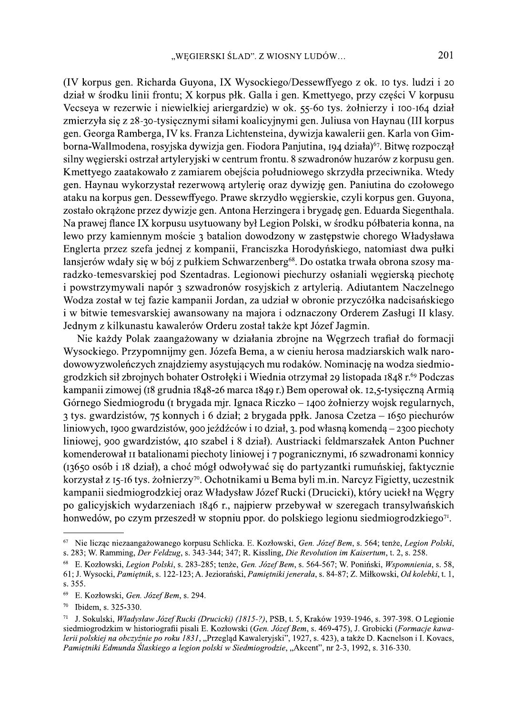(IV korpus gen. Richarda Guyona, IX Wysockiego/Dessewffyego z ok. 10 tys. ludzi i 20 dział w środku linii frontu; X korpus płk. Galla i gen. Kmettyego, przy części V korpusu Vecseya w rezerwie i niewielkiej ariergardzie) w ok. 55-60 tys. żołnierzy i 100-164 dział zmierzyła się z 28-30-tysięcznymi siłami koalicyjnymi gen. Juliusa von Haynau (III korpus gen. Georga Ramberga, IV ks. Franza Lichtensteina, dywizja kawalerii gen. Karla von Gimborna-Wallmodena, rosyjska dywizja gen. Fiodora Panjutina, 194 działa)<sup>67</sup>. Bitwę rozpoczął silny węgierski ostrzał artyleryjski w centrum frontu. 8 szwadronów huzarów z korpusu gen. Kmettyego zaatakowało z zamiarem obejścia południowego skrzydła przeciwnika. Wtedy gen. Haynau wykorzystał rezerwową artylerię oraz dywizję gen. Paniutina do czołowego ataku na korpus gen. Dessewffyego. Prawe skrzydło węgierskie, czyli korpus gen. Guyona, zostało okrążone przez dywizje gen. Antona Herzingera i brygadę gen. Eduarda Siegenthala. Na prawej flance IX korpusu usytuowany był Legion Polski, w środku półbateria konna, na lewo przy kamiennym moście 3 batalion dowodzony w zastępstwie chorego Władysława Englerta przez szefa jednej z kompanii, Franciszka Horodyńskiego, natomiast dwa pułki lansjerów wdały się w bój z pułkiem Schwarzenberg<sup>68</sup>. Do ostatka trwała obrona szosy maradzko-temesvarskiej pod Szentadras. Legionowi piechurzy osłaniali węgierską piechotę i powstrzymywali napór 3 szwadronów rosyjskich z artylerią. Adiutantem Naczelnego Wodza został w tej fazie kampanii Jordan, za udział w obronie przyczółka nadcisańskiego i w bitwie temesvarskiej awansowany na majora i odznaczony Orderem Zasługi II klasy. Jednym z kilkunastu kawalerów Orderu został także kpt Józef Jagmin.

Nie każdy Polak zaangażowany w działania zbrojne na Węgrzech trafiał do formacji Wysockiego. Przypomnijmy gen. Józefa Bema, a w cieniu herosa madziarskich walk narodowowyzwoleńczych znajdziemy asystujących mu rodaków. Nominację na wodza siedmiogrodzkich sił zbrojnych bohater Ostrołęki i Wiednia otrzymał 29 listopada 1848 r.<sup>69</sup> Podczas kampanii zimowej (18 grudnia 1848-26 marca 1849 r.) Bem operował ok. 12,5-tysięczną Armią Górnego Siedmiogrodu (I brygada mjr. Ignaca Riczko – 1400 żołnierzy wojsk regularnych, 3 tys. gwardzistów, 75 konnych i 6 dział; 2 brygada ppłk. Janosa Czetza – 1650 piechurów liniowych, 1900 gwardzistów, 900 jeźdźców i 10 dział, 3. pod własną komendą – 2300 piechoty liniowej, 900 gwardzistów, 410 szabel i 8 dział). Austriacki feldmarszałek Anton Puchner komenderował II batalionami piechoty liniowej i 7 pogranicznymi, 16 szwadronami konnicy (13650 osób i 18 dział), a choć mógł odwoływać się do partyzantki rumuńskiej, faktycznie korzystał z 15-16 tys. żołnierzy<sup>70</sup>. Ochotnikami u Bema byli m.in. Narcyz Figietty, uczestnik kampanii siedmiogrodzkiej oraz Władysław Józef Rucki (Drucicki), który uciekł na Węgry po galicyjskich wydarzeniach 1846 r., najpierw przebywał w szeregach transylwańskich honwedów, po czym przeszedł w stopniu ppor. do polskiego legionu siedmiogrodzkiego<sup>71</sup>.

 $\sqrt{67}$ Nie licząc niezaangażowanego korpusu Schlicka. E. Kozłowski, Gen. Józef Bem, s. 564; tenże, Legion Polski, s. 283; W. Ramming, Der Feldzug, s. 343-344; 347; R. Kissling, Die Revolution im Kaisertum, t. 2, s. 258.

<sup>&</sup>lt;sup>68</sup> E. Kozłowski, Legion Polski, s. 283-285; tenże, Gen. Józef Bem, s. 564-567; W. Poniński, Wspomnienia, s. 58, 61; J. Wysocki, Pamietnik, s. 122-123; A. Jeziorański, Pamietniki jenerala, s. 84-87; Z. Miłkowski, Od kolebki, t. 1, s. 355.

<sup>69</sup> E. Kozłowski, Gen. Józef Bem, s. 294.

<sup>70</sup> Ibidem, s. 325-330.

 $71\,$ J. Sokulski, Władysław Józef Rucki (Drucicki) (1815-?), PSB, t. 5, Kraków 1939-1946, s. 397-398, O Legionie siedmiogrodzkim w historiografii pisali E. Kozłowski (Gen. Józef Bem, s. 469-475), J. Grobicki (Formacje kawalerii polskiej na obczyźnie po roku 1831, "Przegląd Kawaleryjski", 1927, s. 423), a także D. Kacnelson i I. Kovacs, Pamiętniki Edmunda Ślaskiego a legion polski w Siedmiogrodzie, "Akcent", nr 2-3, 1992, s. 316-330.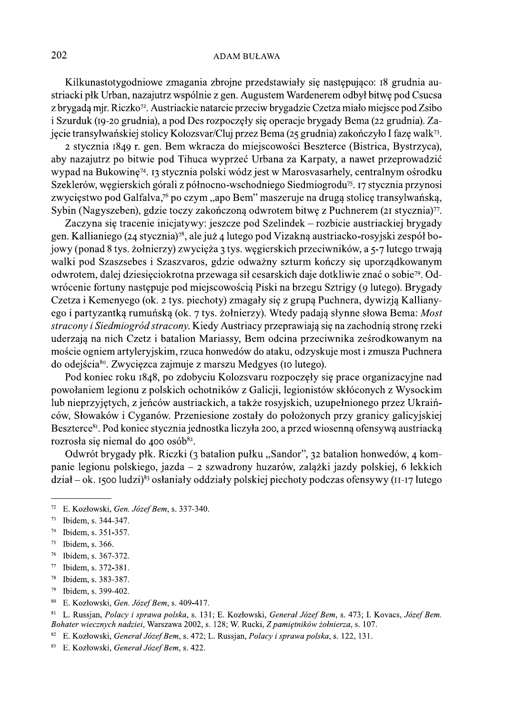Kilkunastotygodniowe zmagania zbrojne przedstawiały się następująco: 18 grudnia austriacki płk Urban, nazajutrz wspólnie z gen. Augustem Wardenerem odbył bitwę pod Csucsa z brygadą mir. Riczko<sup>72</sup>. Austriackie natarcie przeciw brygadzie Czetza miało miejsce pod Zsibo i Szurduk (19-20 grudnia), a pod Des rozpoczęły się operacje brygady Bema (22 grudnia). Zajęcie transylwańskiej stolicy Kolozsvar/Cluj przez Bema (25 grudnia) zakończyło I fazę walk<sup>73</sup>.

2 stycznia 1849 r. gen. Bem wkracza do miejscowości Beszterce (Bistrica, Bystrzyca), aby nazajutrz po bitwie pod Tihuca wyprzeć Urbana za Karpaty, a nawet przeprowadzić wypad na Bukowinę<sup>74</sup>. 13 stycznia polski wódz jest w Marosyasarhely, centralnym ośrodku Szeklerów, węgierskich górali z północno-wschodniego Siedmiogrodu<sup>75</sup>. 17 stycznia przynosi zwycięstwo pod Galfalva,<sup>76</sup> po czym, "apo Bem" maszeruje na drugą stolicę transylwańską, Sybin (Nagyszeben), gdzie toczy zakończoną odwrotem bitwę z Puchnerem (21 stycznia)<sup>77</sup>.

Zaczyna się tracenie inicjatywy: jeszcze pod Szelindek – rozbicie austriackiej brygady gen. Kallianiego (24 stycznia)<sup>78</sup>, ale już 4 lutego pod Vizakną austriacko-rosyjski zespół bojowy (ponad 8 tys. żołnierzy) zwycięża 3 tys. węgierskich przeciwników, a 5-7 lutego trwają walki pod Szaszsebes i Szaszvaros, gdzie odważny szturm kończy się uporządkowanym odwrotem, dalej dziesięciokrotna przewaga sił cesarskich daje dotkliwie znać o sobie<sup>79</sup>. Odwrócenie fortuny następuje pod miejscowością Piski na brzegu Sztrigy (9 lutego). Brygady Czetza i Kemenyego (ok. 2 tys. piechoty) zmagały się z grupą Puchnera, dywizją Kallianyego i partyzantką rumuńską (ok. 7 tys. żołnierzy). Wtedy padają słynne słowa Bema: Most stracony i Siedmiogród stracony. Kiedy Austriacy przeprawiają się na zachodnią stronę rzeki uderzają na nich Czetz i batalion Mariassy, Bem odcina przeciwnika ześrodkowanym na moście ogniem artyleryjskim, rzuca honwedów do ataku, odzyskuje most i zmusza Puchnera do odejścia<sup>80</sup>. Zwycięzca zajmuje z marszu Medgyes (10 lutego).

Pod koniec roku 1848, po zdobyciu Kolozsvaru rozpoczęły się prace organizacyjne nad powołaniem legionu z polskich ochotników z Galicji, legionistów skłóconych z Wysockim lub nieprzyjętych, z jeńców austriackich, a także rosyjskich, uzupełnionego przez Ukraińców, Słowaków i Cyganów. Przeniesione zostały do położonych przy granicy galicyjskiej Beszterce<sup>81</sup>. Pod koniec stycznia jednostka liczyła 200, a przed wiosenną ofensywą austriacką rozrosła się niemal do 400 osób<sup>82</sup>.

Odwrót brygady płk. Riczki (3 batalion pułku "Sandor", 32 batalion honwedów, 4 kompanie legionu polskiego, jazda - 2 szwadrony huzarów, zalążki jazdy polskiej, 6 lekkich  $dział - ok.$  1500 ludzi)<sup>83</sup> osłaniały oddziały polskiej piechoty podczas ofensywy (11-17 lutego

- 76 Ibidem, s. 367-372.
- $77\,$ Ibidem, s. 372-381.
- $78\,$ Ibidem, s. 383-387.
- Ibidem, s. 399-402. 79
- 80 E. Kozłowski, Gen. Józef Bem, s. 409-417.

 $8\sqrt{1}$ L. Russjan, Polacy i sprawa polska, s. 131; E. Kozłowski, General Józef Bem, s. 473; I. Kovacs, Józef Bem. Bohater wiecznych nadziei, Warszawa 2002, s. 128; W. Rucki, Z pamiętników żołnierza, s. 107.

 $72\,$ E. Kozłowski, Gen. Józef Bem, s. 337-340.

 $73\,$ Ibidem, s. 344-347.

<sup>74</sup> Ibidem, s. 351-357.

<sup>75</sup> Ibidem, s. 366.

<sup>82</sup> E. Kozłowski, Generał Józef Bem, s. 472; L. Russjan, Polacy i sprawa polska, s. 122, 131.

<sup>83</sup> E. Kozłowski, Generał Józef Bem, s. 422.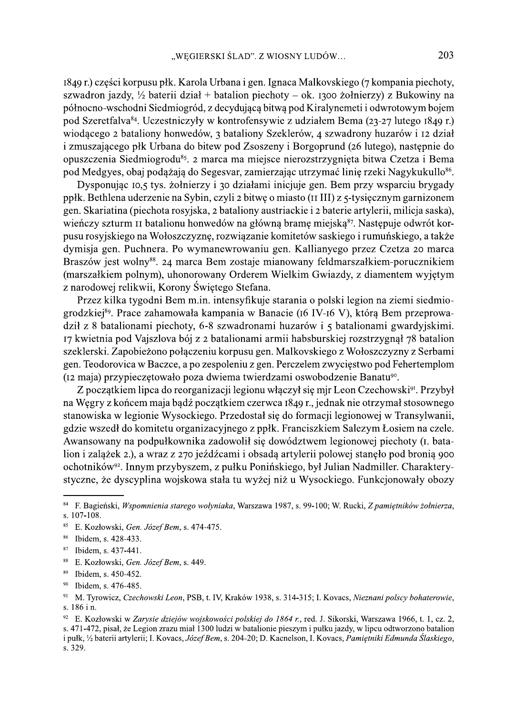1849 r.) części korpusu płk. Karola Urbana i gen. Ignaca Malkovskiego (7 kompania piechoty, szwadron jazdy, 1/2 baterii dział + batalion piechoty – ok. 1300 żołnierzy) z Bukowiny na północno-wschodni Siedmiogród, z decydującą bitwą pod Kiralynemeti i odwrotowym bojem pod Szeretfalva<sup>84</sup>. Uczestniczyły w kontrofensywie z udziałem Bema (23-27 lutego 1849 r.) wiodącego 2 bataliony honwedów, 3 bataliony Szeklerów, 4 szwadrony huzarów i 12 dział i zmuszającego płk Urbana do bitew pod Zsoszeny i Borgoprund (26 lutego), następnie do opuszczenia Siedmiogrodu<sup>85</sup>. 2 marca ma miejsce nierozstrzygnięta bitwa Czetza i Bema pod Medgyes, obaj podażają do Segesvar, zamierzając utrzymać linię rzeki Nagykukullo<sup>86</sup>.

Dysponując 10,5 tys. żołnierzy i 30 działami inicjuje gen. Bem przy wsparciu brygady ppłk. Bethlena uderzenie na Sybin, czyli 2 bitwę o miasto (II III) z 5-tysięcznym garnizonem gen. Skariatina (piechota rosyjska, 2 bataliony austriackie i 2 baterie artylerii, milicja saska), wieńczy szturm II batalionu honwedów na główną bramę miejską<sup>87</sup>. Następuje odwrót korpusu rosyjskiego na Wołoszczyznę, rozwiązanie komitetów saskiego i rumuńskiego, a także dymisja gen. Puchnera. Po wymanewrowaniu gen. Kallianyego przez Czetza 20 marca Braszów jest wolny<sup>88</sup>. 24 marca Bem zostaje mianowany feldmarszałkiem-porucznikiem (marszałkiem polnym), uhonorowany Orderem Wielkim Gwiazdy, z diamentem wyjętym z narodowej relikwii, Korony Świętego Stefana.

Przez kilka tygodni Bem m.in. intensyfikuje starania o polski legion na ziemi siedmiogrodzkiej<sup>89</sup>. Prace zahamowała kampania w Banacie (16 IV-16 V), którą Bem przeprowadził z 8 batalionami piechoty, 6-8 szwadronami huzarów i 5 batalionami gwardyjskimi. 17 kwietnia pod Vajszlova bój z 2 batalionami armii habsburskiej rozstrzygnął 78 batalion szeklerski. Zapobieżono połączeniu korpusu gen. Malkovskiego z Wołoszczyzny z Serbami gen. Teodorovica w Baczce, a po zespoleniu z gen. Perczelem zwycięstwo pod Fehertemplom (12 maja) przypieczętowało poza dwiema twierdzami oswobodzenie Banatu<sup>90</sup>.

Z początkiem lipca do reorganizacji legionu włączył się mjr Leon Czechowski<sup>91</sup>. Przybył na Węgry z końcem maja bądź początkiem czerwca 1849 r., jednak nie otrzymał stosownego stanowiska w legionie Wysockiego. Przedostał się do formacji legionowej w Transylwanii, gdzie wszedł do komitetu organizacyjnego z ppłk. Franciszkiem Salezym Łosiem na czele. Awansowany na podpułkownika zadowolił się dowództwem legionowej piechoty (I. batalion i zalążek 2.), a wraz z 270 jeźdźcami i obsadą artylerii polowej stanęło pod bronią 900 ochotników<sup>92</sup>. Innym przybyszem, z pułku Ponińskiego, był Julian Nadmiller. Charakterystyczne, że dyscyplina wojskowa stała tu wyżej niż u Wysockiego. Funkcjonowały obozy

 $\bf 84$ F. Bagieński, Wspomnienia starego wołyniaka, Warszawa 1987, s. 99-100; W. Rucki, Z pamiętników żołnierza, s. 107-108.

<sup>85</sup> E. Kozłowski, Gen. Józef Bem, s. 474-475.

<sup>&</sup>lt;sup>86</sup> Ibidem, s. 428-433.

<sup>87</sup> Ibidem, s. 437-441.

<sup>88</sup> E. Kozłowski, Gen. Józef Bem, s. 449.

<sup>89</sup> Ibidem, s. 450-452.

<sup>90</sup> Ibidem, s. 476-485.

<sup>91</sup> M. Tyrowicz, Czechowski Leon, PSB, t. IV, Kraków 1938, s. 314-315; I. Kovacs, Nieznani polscy bohaterowie, s. 186 i n.

<sup>92</sup> E. Kozłowski w Zarysie dziejów wojskowości polskiej do 1864 r., red. J. Sikorski, Warszawa 1966, t. 1, cz. 2, s. 471-472, pisał, że Legion zrazu miał 1300 ludzi w batalionie pieszym i pułku jazdy, w lipcu odtworzono batalion i pułk, ½ baterii artylerii; I. Kovacs, Józef Bem, s. 204-20; D. Kacnelson, I. Kovacs, Pamietniki Edmunda Ślaskiego, s. 329.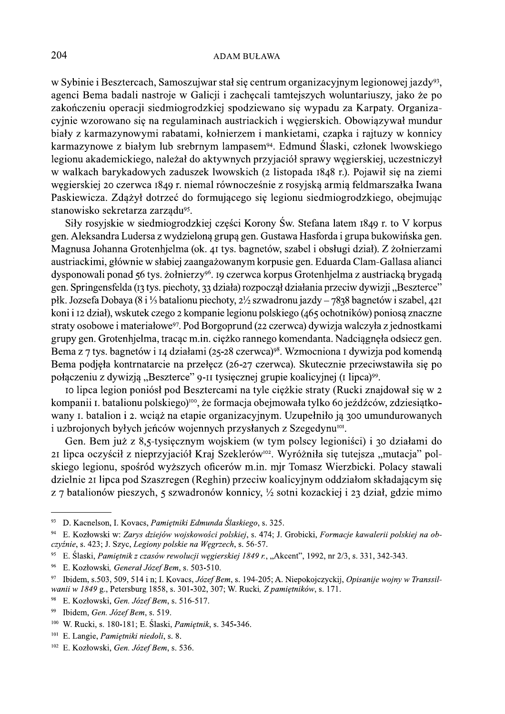w Sybinie i Besztercach, Samoszujwar stał się centrum organizacyjnym legionowej jazdy<sup>93</sup>, agenci Bema badali nastroje w Galicji i zachęcali tamtejszych woluntariuszy, jako że po zakończeniu operacji siedmiogrodzkiej spodziewano się wypadu za Karpaty. Organizacyjnie wzorowano się na regulaminach austriackich i węgierskich. Obowiązywał mundur biały z karmazynowymi rabatami, kołnierzem i mankietami, czapka i rajtuzy w konnicy karmazynowe z białym lub srebrnym lampasem<sup>94</sup>. Edmund Ślaski, członek lwowskiego legionu akademickiego, należał do aktywnych przyjąciół sprawy węgierskiej, uczestniczył w walkach barykadowych zaduszek lwowskich (2 listopada 1848 r.). Pojawił się na ziemi węgierskiej 20 czerwca 1849 r. niemal równocześnie z rosyjską armią feldmarszałka Iwana Paskiewicza. Zdążył dotrzeć do formującego się legionu siedmiogrodzkiego, obejmując stanowisko sekretarza zarządu<sup>95</sup>.

Siły rosyjskie w siedmiogrodzkiej części Korony Św. Stefana latem 1849 r. to V korpus gen. Aleksandra Ludersa z wydzieloną grupą gen. Gustawa Hasforda i grupa bukowińska gen. Magnusa Johanna Grotenhjelma (ok. 41 tys. bagnetów, szabel i obsługi dział). Z żołnierzami austriackimi, głównie w słabiej zaangażowanym korpusie gen. Eduarda Clam-Gallasa alianci dysponowali ponad 56 tys. żołnierzy<sup>96</sup>. 19 czerwca korpus Grotenhielma z austriacką brygadą gen. Springensfelda (13 tys. piechoty, 33 działa) rozpoczął działania przeciw dywizji "Beszterce" płk. Jozsefa Dobaya (8 i 1/3 batalionu piechoty,  $2\frac{1}{2}$  szwadronu jazdy – 7838 bagnetów i szabel, 421 koni i 12 dział), wskutek czego 2 kompanie legionu polskiego (465 ochotników) poniosą znaczne straty osobowe i materiałowe<sup>97</sup>. Pod Borgoprund (22 czerwca) dywizja walczyła z jednostkami grupy gen. Grotenhielma, tracac m.in. ciężko rannego komendanta. Nadciągnęła odsiecz gen. Bema z 7 tys. bagnetów i 14 działami (25-28 czerwca)<sup>98</sup>. Wzmocniona 1 dywizja pod komendą Bema podjęła kontrnatarcie na przełęcz (26-27 czerwca). Skutecznie przeciwstawiła się po połączeniu z dywizją "Beszterce" 9-II tysięcznej grupie koalicyjnej (I lipca)<sup>99</sup>.

10 lipca legion poniósł pod Besztercami na tyle ciężkie straty (Rucki znajdował się w 2 kompanii I. batalionu polskiego)<sup>100</sup>, że formacja obejmowała tylko 60 jeźdźców, zdziesiątkowany I. batalion i 2. weiaż na etapie organizacyjnym. Uzupełniło ją 300 umundurowanych i uzbrojonych byłych jeńców wojennych przysłanych z Szegedynu<sup>101</sup>.

Gen. Bem już z 8,5-tysięcznym wojskiem (w tym polscy legioniści) i 30 działami do 21 lipca oczyścił z nieprzyjaciół Kraj Szeklerów<sup>102</sup>. Wyróżniła się tutejsza "mutacja" polskiego legionu, spośród wyższych oficerów m.in. mjr Tomasz Wierzbicki. Polacy stawali dzielnie 21 lipca pod Szaszregen (Reghin) przeciw koalicyjnym oddziałom składającym się z 7 batalionów pieszych, 5 szwadronów konnicy, 1/2 sotni kozackiej i 23 dział, gdzie mimo

<sup>93</sup> D. Kacnelson, I. Kovacs, Pamiętniki Edmunda Ślaskiego, s. 325.

<sup>94</sup> E. Kozłowski w: Zarys dziejów wojskowości polskiej, s. 474; J. Grobicki, Formacje kawalerii polskiej na obczyźnie, s. 423; J. Szyc, Legiony polskie na Węgrzech, s. 56-57.

<sup>&</sup>lt;sup>95</sup> E. Ślaski, Pamiętnik z czasów rewolucji węgierskiej 1849 r., "Akcent", 1992, nr 2/3, s. 331, 342-343.

<sup>&</sup>lt;sup>96</sup> E. Kozłowski, Generał Józef Bem, s. 503-510.

<sup>97</sup> Ibidem, s.503, 509, 514 i n; I. Kovacs, Józef Bem, s. 194-205; A. Niepokojczyckij, Opisanije wojny w Transsilwanii w 1849 g., Petersburg 1858, s. 301-302, 307; W. Rucki, Z pamiętników, s. 171.

 $\bf{98}$ E. Kozłowski, Gen. Józef Bem, s. 516-517.

<sup>99</sup> Ibidem, Gen. Józef Bem, s. 519.

<sup>&</sup>lt;sup>100</sup> W. Rucki, s. 180-181; E. Ślaski, *Pamietnik*, s. 345-346.

<sup>&</sup>lt;sup>101</sup> E. Langie, *Pamiętniki niedoli*, s. 8.

<sup>&</sup>lt;sup>102</sup> E. Kozłowski, Gen. Józef Bem, s. 536.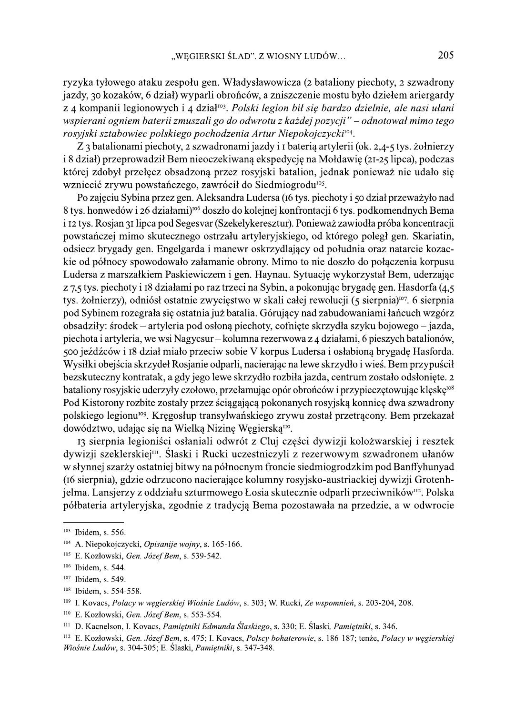ryzyka tyłowego ataku zespołu gen. Władysławowicza (2 bataliony piechoty, 2 szwadrony jazdy, 30 kozaków, 6 dział) wyparli obrońców, a zniszczenie mostu było dziełem ariergardy z 4 kompanii legionowych i 4 dział<sup>103</sup>. Polski legion bił się bardzo dzielnie, ale nasi ułani wspierani ogniem baterii zmuszali go do odwrotu z każdej pozycji" – odnotował mimo tego rosyjski sztabowiec polskiego pochodzenia Artur Niepokojczycki<sup>104</sup>.

Z 3 batalionami piechoty, 2 szwadronami jazdy i I baterią artylerii (ok. 2,4-5 tys. żołnierzy i 8 dział) przeprowadził Bem nieoczekiwaną ekspedycję na Mołdawię (21-25 lipca), podczas której zdobył przełęcz obsadzoną przez rosyjski batalion, jednak ponieważ nie udało się wzniecić zrywu powstańczego, zawrócił do Siedmiogrodu<sup>105</sup>.

Po zajęciu Sybina przez gen. Aleksandra Ludersa (16 tys. piechoty i 50 dział przeważyło nad 8 tys. honwedów i 26 działami)<sup>106</sup> doszło do kolejnej konfrontacji 6 tys. podkomendnych Bema i 12 tys. Rosjan 31 lipca pod Segesvar (Szekelykeresztur). Ponieważ zawiodła próba koncentracji powstańczej mimo skutecznego ostrzału artyleryjskiego, od którego poległ gen. Skariatin, odsiecz brygady gen. Engelgarda i manewr oskrzydlający od południa oraz natarcie kozackie od północy spowodowało załamanie obrony. Mimo to nie doszło do połączenia korpusu Ludersa z marszałkiem Paskiewiczem i gen. Haynau. Sytuację wykorzystał Bem, uderzając z 7,5 tys. piechoty i 18 działami po raz trzeci na Sybin, a pokonując brygadę gen. Hasdorfa (4,5 tys. żołnierzy), odniósł ostatnie zwycięstwo w skali całej rewolucji (5 sierpnia)<sup>107</sup>. 6 sierpnia pod Sybinem rozegrała się ostatnia już batalia. Górujący nad zabudowaniami łańcuch wzgórz obsadziły: środek – artyleria pod osłoną piechoty, cofnięte skrzydła szyku bojowego – jazda, piechota i artyleria, we wsi Nagycsur – kolumna rezerwowa z 4 działami, 6 pieszych batalionów, 500 jeźdźców i 18 dział miało przeciw sobie V korpus Ludersa i osłabioną brygadę Hasforda. Wysiłki obejścia skrzydeł Rosjanie odparli, nacierając na lewe skrzydło i wieś. Bem przypuścił bezskuteczny kontratak, a gdy jego lewe skrzydło rozbiła jazda, centrum zostało odsłonięte. 2 bataliony rosyjskie uderzyły czołowo, przełamując opór obrońców i przypieczętowując klęskę<sup>108</sup> Pod Kistorony rozbite zostały przez ściągającą pokonanych rosyjską konnicę dwa szwadrony polskiego legionu<sup>109</sup>. Kregosłup transylwańskiego zrywu został przetrącony. Bem przekazał dowództwo, udając się na Wielką Nizinę Węgierską<sup>110</sup>.

13 sierpnia legioniści osłaniali odwrót z Cluj części dywizji kolożwarskiej i resztek dywizji szeklerskiej<sup>m</sup>. Ślaski i Rucki uczestniczyli z rezerwowym szwadronem ułanów w słynnej szarży ostatniej bitwy na północnym froncie siedmiogrodzkim pod Banffyhunyad (16 sierpnia), gdzie odrzucono nacierające kolumny rosyjsko-austriackiej dywizji Grotenhjelma. Lansjerzy z oddziału szturmowego Łosia skutecznie odparli przeciwników<sup>112</sup>. Polska półbateria artyleryjska, zgodnie z tradycją Bema pozostawała na przedzie, a w odwrocie

<sup>&</sup>lt;sup>103</sup> Ibidem, s. 556.

 $104$  A. Niepokojczycki, *Opisanije wojny*, s. 165-166.

<sup>&</sup>lt;sup>105</sup> E. Kozłowski, Gen. Józef Bem, s. 539-542.

<sup>&</sup>lt;sup>106</sup> Ibidem, s. 544.

<sup>&</sup>lt;sup>107</sup> Ibidem, s. 549.

<sup>&</sup>lt;sup>108</sup> Ibidem, s. 554-558.

<sup>&</sup>lt;sup>109</sup> I. Kovacs, *Polacy w wegierskiej Wiośnie Ludów*, s. 303; W. Rucki, Ze wspomnień, s. 203-204, 208.

<sup>&</sup>lt;sup>110</sup> E. Kozłowski, Gen. Józef Bem, s. 553-554.

<sup>&</sup>lt;sup>111</sup> D. Kacnelson, I. Kovacs, Pamiętniki Edmunda Ślaskiego, s. 330; E. Ślaski, Pamiętniki, s. 346.

<sup>&</sup>lt;sup>112</sup> E. Kozłowski, Gen. Józef Bem, s. 475; I. Kovacs, Polscy bohaterowie, s. 186-187; tenże, Polacy w wegierskiej Wiośnie Ludów, s. 304-305; E. Ślaski, Pamietniki, s. 347-348.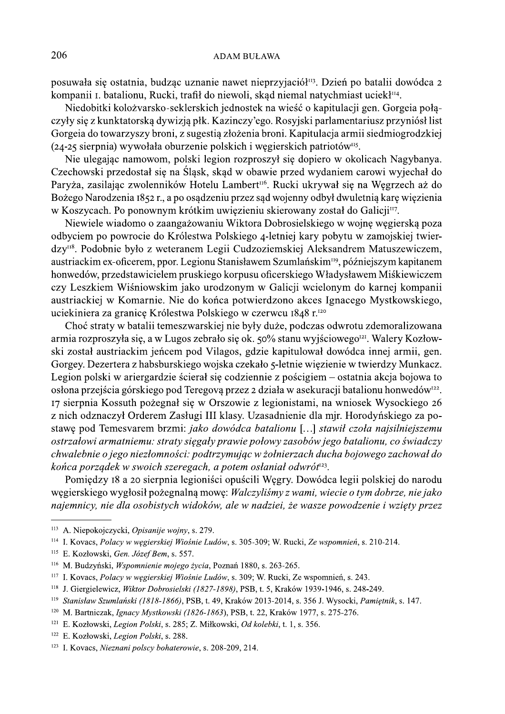posuwała się ostatnia, budząc uznanie nawet nieprzyjąciół<sup>113</sup>. Dzień po batalii dowódca 2 kompanii 1. batalionu, Rucki, trafił do niewoli, skąd niemal natychmiast uciekł<sup>114</sup>.

Niedobitki kolożyarsko-seklerskich jednostek na wieść o kapitulacji gen. Gorgeja połaczyły się z kunktatorską dywizją płk. Kazinczy'ego. Rosyjski parlamentariusz przyniósł list Gorgeia do towarzyszy broni, z sugestią złożenia broni. Kapitulacja armii siedmiogrodzkiej  $(24-25$  sierpnia) wywołała oburzenie polskich i węgierskich patriotów<sup>ns</sup>.

Nie ulegając namowom, polski legion rozproszył się dopiero w okolicach Nagybanya. Czechowski przedostał się na Śląsk, skąd w obawie przed wydaniem carowi wyjechał do Paryża, zasilając zwolenników Hotelu Lambert<sup>116</sup>. Rucki ukrywał się na Węgrzech aż do Bożego Narodzenia 1852 r., a po osądzeniu przez sąd wojenny odbył dwuletnią karę więzienia w Koszycach. Po ponownym krótkim uwięzieniu skierowany został do Galicji<sup>117</sup>.

Niewiele wiadomo o zaangażowaniu Wiktora Dobrosielskiego w wojnę węgierską poza odbyciem po powrocie do Królestwa Polskiego 4-letniej kary pobytu w zamojskiej twierdzy<sup>118</sup>. Podobnie było z weteranem Legii Cudzoziemskiej Aleksandrem Matuszewiczem, austriackim ex-oficerem, ppor. Legionu Stanisławem Szumlańskim<sup>119</sup>, późniejszym kapitanem honwedów, przedstawicielem pruskiego korpusu oficerskiego Władysławem Miśkiewiczem czy Leszkiem Wiśniowskim jako urodzonym w Galicji wcielonym do karnej kompanii austriackiej w Komarnie. Nie do końca potwierdzono akces Ignacego Mystkowskiego, uciekiniera za granice Królestwa Polskiego w czerwcu 1848 r.<sup>120</sup>

Choć straty w batalii temeszwarskiej nie były duże, podczas odwrotu zdemoralizowana armia rozproszyła się, a w Lugos zebrało się ok. 50% stanu wyjściowego<sup>121</sup>. Walery Kozłowski został austriackim jeńcem pod Vilagos, gdzie kapitulował dowódca innej armii, gen. Gorgey. Dezertera z habsburskiego wojska czekało 5-letnie więzienie w twierdzy Munkacz. Legion polski w ariergardzie ścierał się codziennie z pościgiem – ostatnia akcja bojowa to osłona przejścia górskiego pod Teregovą przez 2 działa w asekuracji batalionu honwedów<sup>122</sup>. 17 sierpnia Kossuth pożegnał się w Orszowie z legionistami, na wniosek Wysockiego 26 z nich odznaczył Orderem Zasługi III klasy. Uzasadnienie dla mir. Horodyńskiego za postawę pod Temesvarem brzmi: jako dowódca batalionu [...] stawił czoła najsilniejszemu ostrzałowi armatniemu: straty sięgały prawie połowy zasobów jego batalionu, co świadczy chwalebnie o jego niezłomności: podtrzymując w żołnierzach ducha bojowego zachował do końca porządek w swoich szeregach, a potem osłaniał odwrót<sup>123</sup>.

Pomiędzy 18 a 20 sierpnia legioniści opuścili Węgry. Dowódca legii polskiej do narodu węgierskiego wygłosił pożegnalną mowę: Walczyliśmy z wami, wiecie o tym dobrze, nie jako najemnicy, nie dla osobistych widoków, ale w nadziei, że wasze powodzenie i wzięty przez

<sup>&</sup>lt;sup>113</sup> A. Niepokojczycki, Opisanije wojny, s. 279.

<sup>&</sup>lt;sup>114</sup> I. Kovacs, Polacy w węgierskiej Wiośnie Ludów, s. 305-309; W. Rucki, Ze wspomnień, s. 210-214.

<sup>&</sup>lt;sup>115</sup> E. Kozłowski, Gen. Józef Bem, s. 557.

<sup>&</sup>lt;sup>116</sup> M. Budzyński, Wspomnienie mojego życia, Poznań 1880, s. 263-265.

<sup>&</sup>lt;sup>117</sup> I. Kovacs, *Polacy w węgierskiej Wiośnie Ludów*, s. 309; W. Rucki, Ze wspomnień, s. 243.

<sup>&</sup>lt;sup>118</sup> J. Giergielewicz, Wiktor Dobrosielski (1827-1898), PSB, t. 5, Kraków 1939-1946, s. 248-249.

<sup>&</sup>lt;sup>119</sup> Stanisław Szumlański (1818-1866), PSB, t. 49, Kraków 2013-2014, s. 356 J. Wysocki, Pamiętnik, s. 147.

<sup>&</sup>lt;sup>120</sup> M. Bartniczak, *Ignacy Mystkowski (1826-1863*), PSB, t. 22, Kraków 1977, s. 275-276.

<sup>&</sup>lt;sup>121</sup> E. Kozłowski, Legion Polski, s. 285; Z. Miłkowski, Od kolebki, t. 1, s. 356.

<sup>&</sup>lt;sup>122</sup> E. Kozłowski, Legion Polski, s. 288.

<sup>&</sup>lt;sup>123</sup> I. Kovacs, Nieznani polscy bohaterowie, s. 208-209, 214.